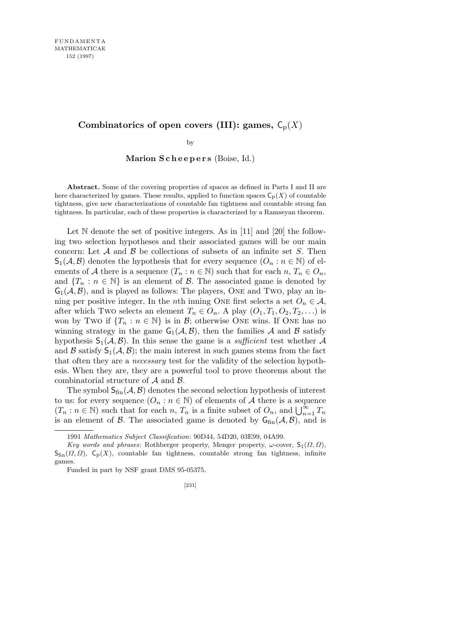## Combinatorics of open covers (III): games,  $C_p(X)$

by

**Marion S c h e e p e r s** (Boise, Id.)

**Abstract.** Some of the covering properties of spaces as defined in Parts I and II are here characterized by games. These results, applied to function spaces  $C_p(X)$  of countable tightness, give new characterizations of countable fan tightness and countable strong fan tightness. In particular, each of these properties is characterized by a Ramseyan theorem.

Let  $\mathbb N$  denote the set of positive integers. As in [11] and [20] the following two selection hypotheses and their associated games will be our main concern: Let *A* and *B* be collections of subsets of an infinite set *S*. Then  $\mathsf{S}_1(\mathcal{A}, \mathcal{B})$  denotes the hypothesis that for every sequence  $(O_n : n \in \mathbb{N})$  of elements of *A* there is a sequence  $(T_n : n \in \mathbb{N})$  such that for each  $n, T_n \in O_n$ , and  ${T_n : n \in \mathbb{N}}$  is an element of *B*. The associated game is denoted by  $G_1(\mathcal{A}, \mathcal{B})$ , and is played as follows: The players, ONE and Two, play an inning per positive integer. In the *n*th inning ONE first selects a set  $O_n \in \mathcal{A}$ , after which Two selects an element  $T_n \in O_n$ . A play  $(O_1, T_1, O_2, T_2, \ldots)$  is won by Two if  $\{T_n : n \in \mathbb{N}\}\$ is in *B*; otherwise One wins. If One has no winning strategy in the game  $G_1(\mathcal{A}, \mathcal{B})$ , then the families  $\mathcal A$  and  $\mathcal B$  satisfy hypothesis  $S_1(\mathcal{A}, \mathcal{B})$ . In this sense the game is a *sufficient* test whether  $\mathcal{A}$ and  $\beta$  satisfy  $S_1(\mathcal{A}, \mathcal{B})$ ; the main interest in such games stems from the fact that often they are a *necessary* test for the validity of the selection hypothesis. When they are, they are a powerful tool to prove theorems about the combinatorial structure of *A* and *B*.

The symbol  $S_{fin}(\mathcal{A}, \mathcal{B})$  denotes the second selection hypothesis of interest to us: for every sequence  $(O_n : n \in \mathbb{N})$  of elements of A there is a sequence (*T*<sub>n</sub> : *n* ∈ N) such that for each *n*, *T*<sub>n</sub> is a finite subset of *O*<sub>*n*</sub>, and  $\bigcup_{n=1}^{\infty} T_n$ is an element of  $\beta$ . The associated game is denoted by  $G_{fin}(A, \beta)$ , and is

<sup>1991</sup> *Mathematics Subject Classification*: 90D44, 54D20, 03E99, 04A99.

*Key words and phrases*: Rothberger property, Menger property,  $\omega$ -cover,  $S_1(\Omega, \Omega)$ , Sfin(*Ω, Ω*), Cp(*X*), countable fan tightness, countable strong fan tightness, infinite games.

Funded in part by NSF grant DMS 95-05375.

<sup>[231]</sup>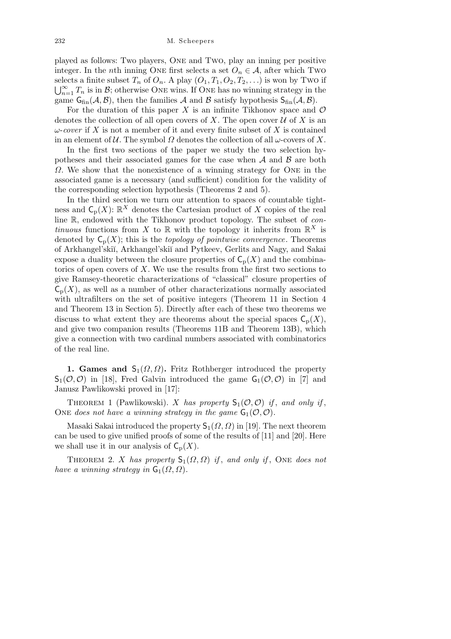played as follows: Two players, One and Two, play an inning per positive integer. In the *n*th inning ONE first selects a set  $O_n \in A$ , after which Two selects a finite subset  $T_n$  of  $O_n$ . A play  $(O_1, T_1, O_2, T_2, ...)$  is won by Two if  $\bigcup_{n=1}^{\infty} T_n$  is in *B*; otherwise ONE wins. If ONE has no winning strategy in the game  $G_{fin}(\mathcal{A}, \mathcal{B})$ , then the families  $\mathcal{A}$  and  $\mathcal{B}$  satisfy hypothesis  $S_{fin}(\mathcal{A}, \mathcal{B})$ .

For the duration of this paper  $X$  is an infinite Tikhonov space and  $\mathcal O$ denotes the collection of all open covers of X. The open cover  $U$  of X is an *ω*-*cover* if *X* is not a member of it and every finite subset of *X* is contained in an element of  $U$ . The symbol  $\Omega$  denotes the collection of all  $\omega$ -covers of X.

In the first two sections of the paper we study the two selection hypotheses and their associated games for the case when *A* and *B* are both *Ω*. We show that the nonexistence of a winning strategy for ONE in the associated game is a necessary (and sufficient) condition for the validity of the corresponding selection hypothesis (Theorems 2 and 5).

In the third section we turn our attention to spaces of countable tightness and  $\mathsf{C}_{\mathrm{p}}(X)$ :  $\mathbb{R}^X$  denotes the Cartesian product of X copies of the real line R, endowed with the Tikhonov product topology. The subset of *continuous* functions from *X* to  $\mathbb{R}$  with the topology it inherits from  $\mathbb{R}^{X}$  is denoted by  $C_p(X)$ ; this is the *topology of pointwise convergence*. Theorems of Arkhangel'ski˘ı, Arkhangel'ski˘ı and Pytkeev, Gerlits and Nagy, and Sakai expose a duality between the closure properties of  $C_p(X)$  and the combinatorics of open covers of *X*. We use the results from the first two sections to give Ramsey-theoretic characterizations of "classical" closure properties of  $\mathsf{C}_{\mathsf{p}}(X)$ , as well as a number of other characterizations normally associated with ultrafilters on the set of positive integers (Theorem 11 in Section 4 and Theorem 13 in Section 5). Directly after each of these two theorems we discuss to what extent they are theorems about the special spaces  $C_p(X)$ , and give two companion results (Theorems 11B and Theorem 13B), which give a connection with two cardinal numbers associated with combinatorics of the real line.

**1. Games and**  $S_1(\Omega, \Omega)$ **. Fritz Rothberger introduced the property**  $S_1(\mathcal{O}, \mathcal{O})$  in [18], Fred Galvin introduced the game  $G_1(\mathcal{O}, \mathcal{O})$  in [7] and Janusz Pawlikowski proved in [17]:

THEOREM 1 (Pawlikowski). *X* has property  $S_1(\mathcal{O}, \mathcal{O})$  if, and only if, ONE does not have a winning strategy in the game  $G_1(\mathcal{O}, \mathcal{O})$ .

Masaki Sakai introduced the property  $S_1(\Omega, \Omega)$  in [19]. The next theorem can be used to give unified proofs of some of the results of [11] and [20]. Here we shall use it in our analysis of  $C_p(X)$ .

THEOREM 2. *X* has property  $S_1(\Omega, \Omega)$  *if*, and only *if*, ONE does not *have a winning strategy in*  $\mathsf{G}_1(\Omega,\Omega)$ *.*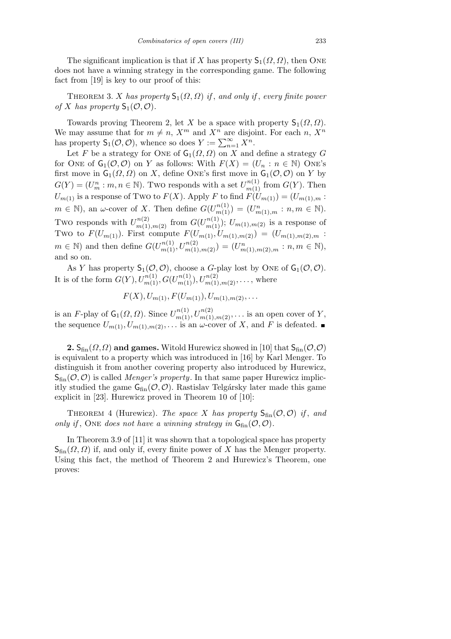The significant implication is that if *X* has property  $\mathsf{S}_1(\Omega,\Omega)$ , then ONE does not have a winning strategy in the corresponding game. The following fact from [19] is key to our proof of this:

THEOREM 3. *X* has property  $S_1(\Omega, \Omega)$  *if*, and only *if*, every finite power *of X has property*  $S_1(\mathcal{O}, \mathcal{O})$ *.* 

Towards proving Theorem 2, let *X* be a space with property  $\mathsf{S}_1(\Omega,\Omega)$ . We may assume that for  $m \neq n$ ,  $X^m$  and  $X^n$  are disjoint. For each *n*,  $X^n$ has property  $S_1(\mathcal{O}, \mathcal{O})$ , whence so does  $Y := \sum_{n=1}^{\infty} X^n$ .

Let *F* be a strategy for ONE of  $\mathsf{G}_1(\Omega, \Omega)$  on *X* and define a strategy *G* for ONE of  $G_1(\mathcal{O}, \mathcal{O})$  on *Y* as follows: With  $F(X) = (U_n : n \in \mathbb{N})$  ONE's first move in  $G_1(\Omega, \Omega)$  on *X*, define ONE's first move in  $G_1(\mathcal{O}, \mathcal{O})$  on *Y* by  $G(Y) = (U_m^n : m, n \in \mathbb{N})$ . Two responds with a set  $U_{m(1)}^{n(1)}$  from  $G(Y)$ . Then  $U_{m(1)}$  is a response of Two to  $F(X)$ . Apply *F* to find  $F(U_{m(1)}) = (U_{m(1),m})$ .  $m \in \mathbb{N}$ , an *ω*-cover of *X*. Then define  $G(U_{m(1)}^{n(1)}) = (U_{m(1),m}^n : n, m \in \mathbb{N})$ . Two responds with  $U_{m(1),m(2)}^{n(2)}$  from  $G(U_{m(1)}^{n(1)})$ ;  $U_{m(1),m(2)}$  is a response of Two to  $F(U_{m(1)})$ . First compute  $F(U_{m(1)}, U_{m(1),m(2)}) = (U_{m(1),m(2),m})$ .  $m \in \mathbb{N}$  and then define  $G(U_{m(1)}^{n(1)}, U_{m(1),m(2)}^{n(2)}) = (U_{m(1),m(2),m}^n : n, m \in \mathbb{N}),$ and so on.

As *Y* has property  $S_1(\mathcal{O}, \mathcal{O})$ , choose a *G*-play lost by ONE of  $G_1(\mathcal{O}, \mathcal{O})$ . It is of the form  $G(Y)$ *,*  $U_{m(1)}^{n(1)}$ *,*  $G(U_{m(1)}^{n(1)})$ *,*  $U_{m(1),m(2)}^{n(2)}$ *,..., where* 

$$
F(X), U_{m(1)}, F(U_{m(1)}), U_{m(1),m(2)},...
$$

is an *F*-play of  $\mathsf{G}_1(\Omega, \Omega)$ . Since  $U^{n(1)}_{m(1)}, U^{n(2)}_{m(1),m(2)}, \ldots$  is an open cover of *Y*, the sequence  $U_{m(1)}, U_{m(1),m(2)}, \ldots$  is an  $\omega$ -cover of X, and F is defeated.

**2.**  $S_{fin}(\Omega, \Omega)$  and games. Witold Hurewicz showed in [10] that  $S_{fin}(\mathcal{O}, \mathcal{O})$ is equivalent to a property which was introduced in [16] by Karl Menger. To distinguish it from another covering property also introduced by Hurewicz,  $S_{fin}(\mathcal{O}, \mathcal{O})$  is called *Menger's property*. In that same paper Hurewicz implicitly studied the game  $G_{fin}(\mathcal{O}, \mathcal{O})$ . Rastislav Telgársky later made this game explicit in [23]. Hurewicz proved in Theorem 10 of [10]:

THEOREM 4 (Hurewicz). *The space X has property*  $S_{fin}(\mathcal{O}, \mathcal{O})$  *if*, and *only if*, ONE *does not have a winning strategy in*  $G_{fin}(\mathcal{O}, \mathcal{O})$ *.* 

In Theorem 3.9 of [11] it was shown that a topological space has property  $S_{fin}(\Omega,\Omega)$  if, and only if, every finite power of X has the Menger property. Using this fact, the method of Theorem 2 and Hurewicz's Theorem, one proves: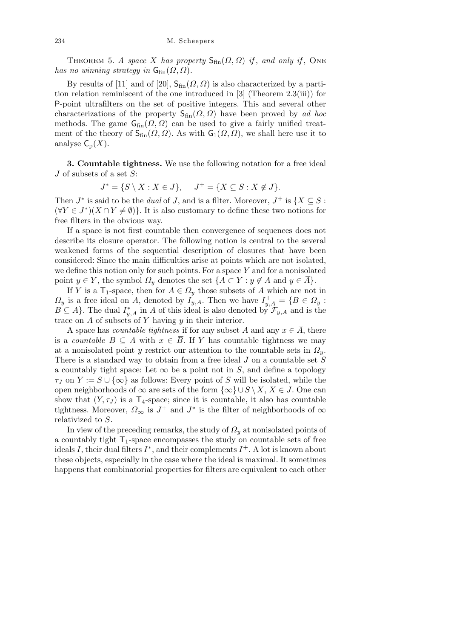THEOREM 5. *A space X* has property  $S_{fin}(\Omega, \Omega)$  *if*, and only *if*, ONE *has no winning strategy in*  $G_{fin}(\Omega, \Omega)$ *.* 

By results of [11] and of [20],  $S_{fin}(\Omega, \Omega)$  is also characterized by a partition relation reminiscent of the one introduced in [3] (Theorem 2.3(iii)) for P-point ultrafilters on the set of positive integers. This and several other characterizations of the property  $S_{fin}(\Omega, \Omega)$  have been proved by *ad hoc* methods. The game  $G_{fin}(\Omega, \Omega)$  can be used to give a fairly unified treatment of the theory of  $S_{fin}(\Omega, \Omega)$ . As with  $G_1(\Omega, \Omega)$ , we shall here use it to analyse  $C_p(X)$ .

**3. Countable tightness.** We use the following notation for a free ideal *J* of subsets of a set *S*:

$$
J^* = \{ S \setminus X : X \in J \}, \quad J^+ = \{ X \subseteq S : X \notin J \}.
$$

Then  $J^*$  is said to be the *dual* of *J*, and is a filter. Moreover,  $J^+$  is  $\{X \subseteq S:$  $(\forall Y \in J^*)(X \cap Y \neq \emptyset)$ . It is also customary to define these two notions for free filters in the obvious way.

If a space is not first countable then convergence of sequences does not describe its closure operator. The following notion is central to the several weakened forms of the sequential description of closures that have been considered: Since the main difficulties arise at points which are not isolated, we define this notion only for such points. For a space *Y* and for a nonisolated point  $y \in Y$ , the symbol  $\Omega_y$  denotes the set  $\{A \subset Y : y \notin A \text{ and } y \in \overline{A}\}.$ 

If *Y* is a  $\mathsf{T}_1$ -space, then for  $A \in \Omega_y$  those subsets of *A* which are not in  $Q_y$  is a free ideal on *A*, denoted by  $I_{y,A}$ . Then we have  $I_{y,A}^+ = \{B \in \Omega_y :$  $B \subseteq A$ . The dual  $I^*_{y,A}$  in *A* of this ideal is also denoted by  $\mathcal{F}_{y,A}$  and is the trace on *A* of subsets of *Y* having *y* in their interior.

A space has *countable tightness* if for any subset *A* and any  $x \in \overline{A}$ , there is a *countable*  $B \subseteq A$  with  $x \in \overline{B}$ . If *Y* has countable tightness we may at a nonisolated point *y* restrict our attention to the countable sets in  $\Omega_y$ . There is a standard way to obtain from a free ideal *J* on a countable set *S* a countably tight space: Let  $\infty$  be a point not in *S*, and define a topology *τJ* on *Y* :=  $S \cup \{\infty\}$  as follows: Every point of *S* will be isolated, while the open neighborhoods of  $\infty$  are sets of the form  $\{\infty\} \cup S \setminus X, X \in J$ . One can show that  $(Y, \tau_J)$  is a  $\mathsf{T}_4$ -space; since it is countable, it also has countable tightness. Moreover,  $\Omega_{\infty}$  is  $J^+$  and  $J^*$  is the filter of neighborhoods of  $\infty$ relativized to *S*.

In view of the preceding remarks, the study of *Ω<sup>y</sup>* at nonisolated points of a countably tight  $T_1$ -space encompasses the study on countable sets of free ideals *I*, their dual filters  $I^*$ , and their complements  $I^+$ . A lot is known about these objects, especially in the case where the ideal is maximal. It sometimes happens that combinatorial properties for filters are equivalent to each other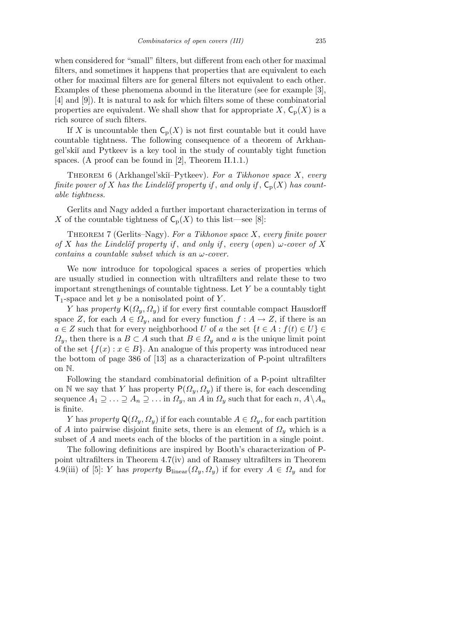when considered for "small" filters, but different from each other for maximal filters, and sometimes it happens that properties that are equivalent to each other for maximal filters are for general filters not equivalent to each other. Examples of these phenomena abound in the literature (see for example [3], [4] and [9]). It is natural to ask for which filters some of these combinatorial properties are equivalent. We shall show that for appropriate  $X$ ,  $C_p(X)$  is a rich source of such filters.

If *X* is uncountable then  $C_p(X)$  is not first countable but it could have countable tightness. The following consequence of a theorem of Arkhangel'ski˘ı and Pytkeev is a key tool in the study of countably tight function spaces. (A proof can be found in [2], Theorem II.1.1.)

Theorem 6 (Arkhangel'ski˘ı–Pytkeev). *For a Tikhonov space X*, *every finite power of X has the Lindelöf property if*, and only if,  $C_p(X)$  *has countable tightness.*

Gerlits and Nagy added a further important characterization in terms of *X* of the countable tightness of  $C_p(X)$  to this list—see [8]:

Theorem 7 (Gerlits–Nagy). *For a Tikhonov space X*, *every finite power of X has the Lindelöf property if*, *and only if*, *every* (*open*)  $\omega$ -*cover* of *X contains a countable subset which is an ω-cover.*

We now introduce for topological spaces a series of properties which are usually studied in connection with ultrafilters and relate these to two important strengthenings of countable tightness. Let *Y* be a countably tight  $T_1$ -space and let *y* be a nonisolated point of *Y*.

*Y* has *property*  $\mathsf{K}(\Omega_y, \Omega_y)$  if for every first countable compact Hausdorff space *Z*, for each  $A \in \Omega_y$ , and for every function  $f : A \to Z$ , if there is an  $a \in \mathbb{Z}$  such that for every neighborhood *U* of *a* the set  $\{t \in A : f(t) \in U\}$  $Q_y$ , then there is a  $B \subset A$  such that  $B \in \Omega_y$  and *a* is the unique limit point of the set  $\{f(x) : x \in B\}$ . An analogue of this property was introduced near the bottom of page 386 of [13] as a characterization of P-point ultrafilters on N.

Following the standard combinatorial definition of a P-point ultrafilter on N we say that *Y* has property  $P(\Omega_y, \Omega_y)$  if there is, for each descending sequence  $A_1 \supseteq \ldots \supseteq A_n \supseteq \ldots$  in  $\Omega_y$ , an *A* in  $\Omega_y$  such that for each  $n, A \setminus A_n$ is finite.

*Y* has *property*  $\mathsf{Q}(\Omega_u, \Omega_v)$  if for each countable  $A \in \Omega_v$ , for each partition of *A* into pairwise disjoint finite sets, there is an element of  $\Omega$ <sub>*y*</sub> which is a subset of *A* and meets each of the blocks of the partition in a single point.

The following definitions are inspired by Booth's characterization of Ppoint ultrafilters in Theorem 4.7(iv) and of Ramsey ultrafilters in Theorem 4.9(iii) of [5]: *Y* has *property*  $B_{linear}(\Omega_y, \Omega_y)$  if for every  $A \in \Omega_y$  and for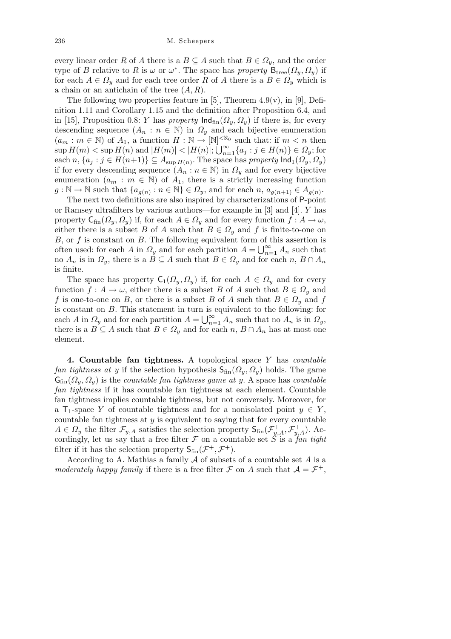every linear order *R* of *A* there is a  $B \subseteq A$  such that  $B \in \Omega_y$ , and the order type of *B* relative to *R* is  $\omega$  or  $\omega^*$ . The space has *property*  $B_{\text{tree}}(Q_y, Q_y)$  if for each  $A \in \Omega$ <sup>*y*</sup> and for each tree order *R* of *A* there is a  $B \in \Omega$ <sup>*y*</sup> which is a chain or an antichain of the tree (*A, R*).

The following two properties feature in [5], Theorem  $4.9(v)$ , in [9], Definition 1.11 and Corollary 1.15 and the definition after Proposition 6.4, and in [15], Proposition 0.8: *Y* has *property*  $\text{Ind}_{fin}(\Omega_y, \Omega_y)$  if there is, for every descending sequence  $(A_n : n \in \mathbb{N})$  in  $\Omega_y$  and each bijective enumeration  $(a_m : m \in \mathbb{N})$  of  $A_1$ , a function  $H : \mathbb{N} \to [\mathbb{N}]^{<\aleph_0}$  such that: if  $m < n$  then  $\sup H(m) < \sup H(n)$  and  $|H(m)| < |H(n)|$ ;  $\bigcup_{n=1}^{\infty}$  $\sum_{n=1}^{\infty} \{a_j : j \in H(n)\} \in \Omega_y;$  for  $\{a_j : j \in H(n+1)\} \subseteq A_{\sup H(n)}$ . The space has *property*  $\text{Ind}_1(\Omega_y, \Omega_y)$ if for every descending sequence  $(A_n : n \in \mathbb{N})$  in  $\Omega_y$  and for every bijective enumeration  $(a_m : m \in \mathbb{N})$  of  $A_1$ , there is a strictly increasing function  $g: \mathbb{N} \to \mathbb{N}$  such that  $\{a_{g(n)}: n \in \mathbb{N}\} \in \Omega_y$ , and for each  $n, a_{g(n+1)} \in A_{g(n)}$ .

The next two definitions are also inspired by characterizations of P-point or Ramsey ultrafilters by various authors—for example in [3] and [4]. *Y* has property  $C_{fin}(\Omega_y, \Omega_y)$  if, for each  $A \in \Omega_y$  and for every function  $f : A \to \omega$ , either there is a subset *B* of *A* such that  $B \in \Omega_y$  and *f* is finite-to-one on *B*, or *f* is constant on *B*. The following equivalent form of this assertion is  $\omega$ , or *f* is constant on *B*. The ionowing equivalent form of the often used: for each *A* in  $\Omega_y$  and for each partition  $A = \bigcup_{n=1}^{\infty}$  $\sum_{n=1}^{\infty} A_n$  such that no  $A_n$  is in  $\Omega_y$ , there is a  $B \subseteq A$  such that  $B \in \Omega_y$  and for each  $n, B \cap A_n$ is finite.

The space has property  $C_1(\Omega_y, \Omega_y)$  if, for each  $A \in \Omega_y$  and for every function  $f: A \to \omega$ , either there is a subset *B* of *A* such that  $B \in \Omega_y$  and *f* is one-to-one on *B*, or there is a subset *B* of *A* such that  $B \in \Omega$ <sup>*y*</sup> and *f* is constant on *B*. This statement in turn is equivalent to the following: for each *A* in  $\Omega_y$  and for each partition  $A = \bigcup_{n=1}^{\infty}$  $\sum_{n=1}^{\infty} A_n$  such that no  $A_n$  is in  $\Omega_y$ , there is a  $B \subseteq A$  such that  $B \in \Omega_y$  and for each  $n, B \cap A_n$  has at most one element.

**4. Countable fan tightness.** A topological space *Y* has *countable fan tightness at y* if the selection hypothesis  $S_{fin}(\Omega_y, \Omega_y)$  holds. The game  $G_{fin}(\Omega_v, \Omega_v)$  is the *countable fan tightness game at y*. A space has *countable fan tightness* if it has countable fan tightness at each element. Countable fan tightness implies countable tightness, but not conversely. Moreover, for a  $\mathsf{T}_1$ -space *Y* of countable tightness and for a nonisolated point  $y \in Y$ , countable fan tightness at *y* is equivalent to saying that for every countable  $A \in \Omega_y$  the filter  $\mathcal{F}_{y,A}$  satisfies the selection property  $S_{fin}(\mathcal{F}_{y,A}^+, \mathcal{F}_{y,A}^+)$ . Accordingly, let us say that a free filter  $\mathcal F$  on a countable set  $\check S$  is a *fan tight* filter if it has the selection property  $S_{fin}(\mathcal{F}^+,\mathcal{F}^+).$ 

According to A. Mathias a family *A* of subsets of a countable set *A* is a *moderately happy family* if there is a free filter *F* on *A* such that  $A = \mathcal{F}^+$ ,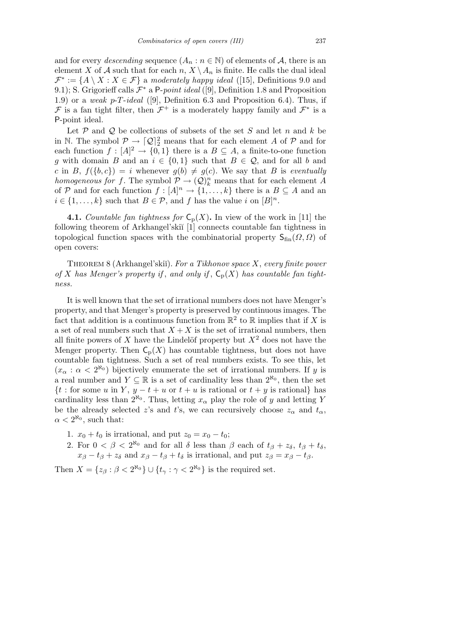and for every *descending* sequence  $(A_n : n \in \mathbb{N})$  of elements of A, there is an element *X* of *A* such that for each  $n, X \setminus A_n$  is finite. He calls the dual ideal  $\mathcal{F}^* := \{A \setminus X : X \in \mathcal{F}\}\$ a *moderately happy ideal* ([15], Definitions 9.0 and 9.1); S. Grigorieff calls  $\mathcal{F}^*$  a P-*point ideal* ([9], Definition 1.8 and Proposition 1.9) or a *weak p*-*T*-*ideal* ([9], Definition 6.3 and Proposition 6.4). Thus, if *F* is a fan tight filter, then  $\mathcal{F}^+$  is a moderately happy family and  $\mathcal{F}^*$  is a P-point ideal.

Let  $P$  and  $Q$  be collections of subsets of the set  $S$  and let  $n$  and  $k$  be in N. The symbol  $\mathcal{P} \to [\mathcal{Q}]_2^2$  means that for each element *A* of  $\mathcal P$  and for each function  $f : [A]^2 \to \{0,1\}$  there is a  $B \subseteq A$ , a finite-to-one function *g* with domain *B* and an  $i \in \{0,1\}$  such that  $B \in \mathcal{Q}$ , and for all *b* and *c* in *B*,  $f(\lbrace b, c \rbrace) = i$  whenever  $g(b) \neq g(c)$ . We say that *B* is *eventually homogeneous for f*. The symbol  $\mathcal{P} \to (\mathcal{Q})_k^n$  means that for each element A of *P* and for each function  $f : [A]^n \to \{1, \ldots, k\}$  there is a  $B \subseteq A$  and an  $i \in \{1, \ldots, k\}$  such that  $B \in \mathcal{P}$ , and *f* has the value *i* on  $[B]^n$ .

**4.1.** *Countable fan tightness for*  $C_p(X)$ . In view of the work in [11] the following theorem of Arkhangel'skiĭ [1] connects countable fan tightness in topological function spaces with the combinatorial property  $S_{fin}(\Omega, \Omega)$  of open covers:

Theorem 8 (Arkhangel'ski˘ı). *For a Tikhonov space X*, *every finite power* of *X* has Menger's property if, and only if,  $C_p(X)$  has countable fan tight*ness.*

It is well known that the set of irrational numbers does not have Menger's property, and that Menger's property is preserved by continuous images. The fact that addition is a continuous function from  $\mathbb{R}^2$  to  $\mathbb R$  implies that if *X* is a set of real numbers such that  $X + X$  is the set of irrational numbers, then all finite powers of *X* have the Lindelöf property but  $X<sup>2</sup>$  does not have the Menger property. Then  $C_p(X)$  has countable tightness, but does not have countable fan tightness. Such a set of real numbers exists. To see this, let  $(x_\alpha : \alpha < 2^{\aleph_0})$  bijectively enumerate the set of irrational numbers. If *y* is a real number and  $Y \subseteq \mathbb{R}$  is a set of cardinality less than  $2^{\aleph_0}$ , then the set  ${t :$  for some *u* in *Y*,  $y - t + u$  or  $t + u$  is rational or  $t + y$  is rational} has cardinality less than  $2^{\aleph_0}$ . Thus, letting  $x_\alpha$  play the role of *y* and letting *Y* be the already selected *z*'s and *t*'s, we can recursively choose  $z_\alpha$  and  $t_\alpha$ ,  $\alpha < 2^{\aleph_0}$ , such that:

- 1.  $x_0 + t_0$  is irrational, and put  $z_0 = x_0 t_0$ ;
- 2. For  $0 < \beta < 2^{\aleph_0}$  and for all  $\delta$  less than  $\beta$  each of  $t_\beta + z_\delta$ ,  $t_\beta + t_\delta$ ,  $x_{\beta} - t_{\beta} + z_{\delta}$  and  $x_{\beta} - t_{\beta} + t_{\delta}$  is irrational, and put  $z_{\beta} = x_{\beta} - t_{\beta}$ .

Then  $X = \{z_{\beta} : \beta < 2^{\aleph_0}\} \cup \{t_{\gamma} : \gamma < 2^{\aleph_0}\}\$ is the required set.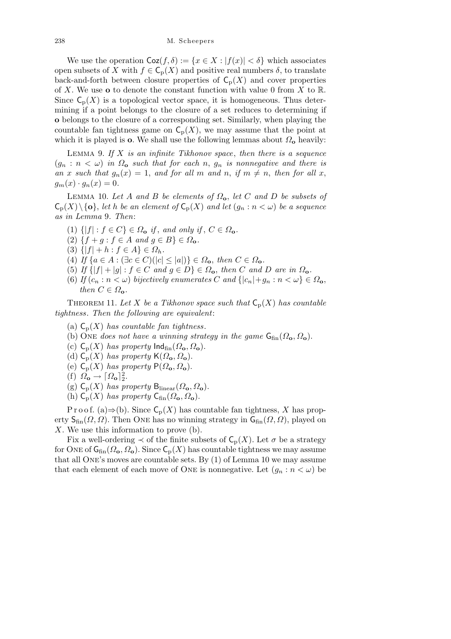We use the operation  $\text{Coz}(f, \delta) := \{x \in X : |f(x)| < \delta\}$  which associates open subsets of *X* with  $f \in \mathsf{C}_{p}(X)$  and positive real numbers  $\delta$ , to translate back-and-forth between closure properties of  $C_p(X)$  and cover properties of *X*. We use **o** to denote the constant function with value 0 from *X* to R. Since  $C_p(X)$  is a topological vector space, it is homogeneous. Thus determining if a point belongs to the closure of a set reduces to determining if **o** belongs to the closure of a corresponding set. Similarly, when playing the countable fan tightness game on  $C_p(X)$ , we may assume that the point at which it is played is **o**. We shall use the following lemmas about  $\Omega_0$  heavily:

Lemma 9. *If X is an infinite Tikhonov space*, *then there is a sequence*  $(g_n : n < \omega)$  *in*  $\Omega_o$  *such that for each n*,  $g_n$  *is nonnegative and there is an x such* that  $g_n(x) = 1$ , and for all *m* and *n*, if  $m \neq n$ , then for all *x*,  $g_m(x) \cdot g_n(x) = 0.$ 

LEMMA 10. Let *A* and *B* be elements of  $\Omega_o$ , let *C* and *D* be subsets of  $\mathcal{C}_{\mathbf{p}}(X)\setminus\{\mathbf{o}\}\}\$ , *let h be an element of*  $\mathcal{C}_{\mathbf{p}}(X)$  *and let*  $(g_n : n < \omega)$  *be a sequence as in Lemma* 9*. Then*:

- $(1) \{ |f| : f \in C \} \in \Omega_0 \text{ if, and only if, } C \in \Omega_0$ .
- $(2) \{f + g : f \in A \text{ and } g \in B\} \in \Omega_0$ .
- $(3) \{ |f| + h : f \in A \} \in \Omega_h$ .
- $(4)$  *If*  $\{a \in A : (\exists c \in C)(|c| \le |a|)\} \in \Omega_0$ , then  $C \in \Omega_0$ .
- (5) If  $\{|f| + |g| : f \in C$  and  $g \in D\} \in \Omega_0$ , then C and D are in  $\Omega_0$ .
- (6) *If*  $(c_n : n < \omega)$  *bijectively enumerates C* and  $\{|c_n| + g_n : n < \omega\} \in \Omega_0$ , *then*  $C \in \Omega$ **o***.*

THEOREM 11. Let *X* be a Tikhonov space such that  $C_p(X)$  has countable *tightness. Then the following are equivalent*:

- (a)  $C_p(X)$  *has countable fan tightness.*
- (b) One *does not have a winning strategy in the game*  $G_{fin}(\Omega_o, \Omega_o)$ .
- (c)  $C_p(X)$  *has property*  $\text{Ind}_{fin}(\Omega_o, \Omega_o)$ .
- (d)  $C_p(X)$  *has property*  $K(\Omega_o, \Omega_o)$ .
- (e)  $C_p(X)$  *has property*  $P(\Omega_o, \Omega_o)$ .
- (f)  $\Omega_{\mathbf{o}} \to [\Omega_{\mathbf{o}}]_2^2$ .
- (g)  $C_p(X)$  *has property*  $B_{linear}(\Omega_o, \Omega_o)$ .
- (h)  $C_p(X)$  *has property*  $C_{fin}(\Omega_o, \Omega_o)$ .

P r o o f. (a) $\Rightarrow$ (b). Since  $C_p(X)$  has countable fan tightness, X has property  $S_{fin}(\Omega, \Omega)$ . Then ONE has no winning strategy in  $G_{fin}(\Omega, \Omega)$ , played on *X*. We use this information to prove (b).

Fix a well-ordering  $\prec$  of the finite subsets of  $C_p(X)$ . Let  $\sigma$  be a strategy for ONE of  $G_{fin}(\Omega_o, \Omega_o)$ . Since  $C_p(X)$  has countable tightness we may assume that all One's moves are countable sets. By (1) of Lemma 10 we may assume that each element of each move of ONE is nonnegative. Let  $(q_n : n < \omega)$  be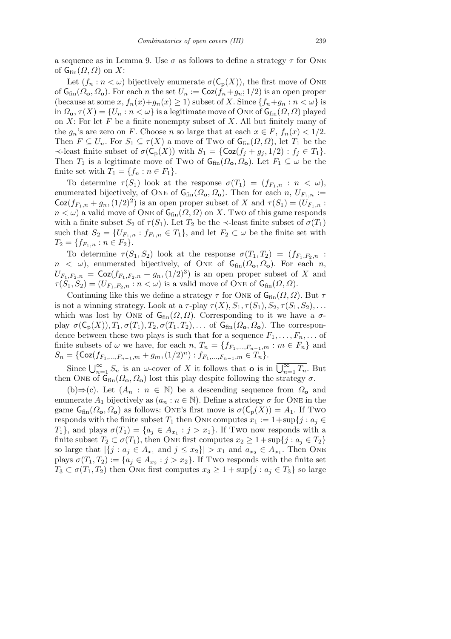a sequence as in Lemma 9. Use  $\sigma$  as follows to define a strategy  $\tau$  for ONE of  $G_{fin}(\Omega,\Omega)$  on X:

Let  $(f_n : n < \omega)$  bijectively enumerate  $\sigma(C_p(X))$ , the first move of ONE of  $G_{fin}(\Omega_0, \Omega_0)$ . For each *n* the set  $U_n := \text{Coz}(f_n + g_n; 1/2)$  is an open proper (because at some  $x, f_n(x)+g_n(x) \ge 1$ ) subset of  $X$ . Since  $\{f_n+g_n : n < \omega\}$  is in  $\Omega_{\mathbf{o}}, \tau(X) = \{U_n : n < \omega\}$  is a legitimate move of ONE of  $\mathsf{G}_{\text{fin}}(\Omega, \Omega)$  played on *X*: For let *F* be a finite nonempty subset of *X*. All but finitely many of the  $g_n$ 's are zero on *F*. Choose *n* so large that at each  $x \in F$ ,  $f_n(x) < 1/2$ . Then  $F \subseteq U_n$ . For  $S_1 \subseteq \tau(X)$  a move of Two of  $G_{fin}(\Omega, \Omega)$ , let  $T_1$  be the  $\prec$ -least finite subset of  $\sigma(C_p(X))$  with  $S_1 = \{ \text{Coz}(f_j + g_j, 1/2) : f_j \in T_1 \}.$ Then *T*<sub>1</sub> is a legitimate move of Two of  $G_{fin}(\Omega_0, \Omega_0)$ . Let  $F_1 \subseteq \omega$  be the finite set with  $T_1 = \{f_n : n \in F_1\}.$ 

To determine  $\tau(S_1)$  look at the response  $\sigma(T_1) = (f_{F_1,n}: n < \omega)$ , enumerated bijectively, of ONE of  $G_{fin}(\Omega_0, \Omega_0)$ . Then for each  $n, U_{F_{1},n} :=$  $\text{Coz}(f_{F_1,n} + g_n, (1/2)^2)$  is an open proper subset of *X* and  $\tau(S_1) = (U_{F_1,n} :$  $n < \omega$ ) a valid move of ONE of  $G_{fin}(\Omega, \Omega)$  on *X*. Two of this game responds with a finite subset  $S_2$  of  $\tau(S_1)$ . Let  $T_2$  be the  $\prec$ -least finite subset of  $\sigma(T_1)$ such that  $S_2 = \{U_{F_1,n} : f_{F_1,n} \in T_1\}$ , and let  $F_2 \subset \omega$  be the finite set with  $T_2 = \{f_{F_1,n} : n \in F_2\}.$ 

To determine  $\tau(S_1, S_2)$  look at the response  $\sigma(T_1, T_2) = (f_{F_1, F_2, n})$ :  $n < \omega$ ), enumerated bijectively, of ONE of  $G_{fin}(\Omega_o, \Omega_o)$ . For each *n*,  $U_{F_1, F_2, n} = \text{Coz}(f_{F_1, F_2, n} + g_n, (1/2)^3)$  is an open proper subset of *X* and  $\tau(S_1, S_2) = (U_{F_1, F_2, n} : n < \omega)$  is a valid move of ONE of  $G_{fin}(\Omega, \Omega)$ .

Continuing like this we define a strategy  $\tau$  for ONE of  $G_{fin}(\Omega, \Omega)$ . But  $\tau$ is not a winning strategy. Look at a  $\tau$ -play  $\tau(X), S_1, \tau(S_1), S_2, \tau(S_1, S_2), \ldots$ which was lost by ONE of  $G_{fin}(\Omega, \Omega)$ . Corresponding to it we have a  $\sigma$ play  $\sigma(C_p(X))$ ,  $T_1$ ,  $\sigma(T_1)$ ,  $T_2$ ,  $\sigma(T_1, T_2)$ , ... of  $G_{fin}(\Omega_0, \Omega_0)$ . The correspondence between these two plays is such that for a sequence  $F_1, \ldots, F_n, \ldots$  of finite subsets of  $\omega$  we have, for each  $n, T_n = \{f_{F_1,...,F_{n-1},m} : m \in F_n\}$  and  $S_n = \{ \text{Coz}(f_{F_1,...,F_{n-1},m} + g_m, (1/2)^n) : f_{F_1,...,F_{n-1},m} \in T_n \}.$ 

Since  $\bigcup_{n=1}^{\infty} S_n$  is an *ω*-cover of *X* it follows that **o** is in  $\overline{\bigcup_{n=1}^{\infty} T_n}$ . But then ONE of  $G_{fin}(\Omega_o, \Omega_o)$  lost this play despite following the strategy  $\sigma$ .

(b)*⇒*(c). Let (*A<sup>n</sup>* : *n ∈* N) be a descending sequence from *Ω***<sup>o</sup>** and enumerate  $A_1$  bijectively as  $(a_n : n \in \mathbb{N})$ . Define a strategy  $\sigma$  for ONE in the game  $G_{fin}(\Omega_o, \Omega_o)$  as follows: ONE's first move is  $\sigma(C_p(X)) = A_1$ . If Two responds with the finite subset  $T_1$  then ONE computes  $x_1 := 1 + \sup\{j : a_j \in$ *T*<sub>1</sub><sup>}</sup>, and plays  $\sigma(T_1) = \{a_j \in A_{x_1} : j > x_1\}$ . If Two now responds with a finite subset  $T_2 \subset \sigma(T_1)$ , then ONE first computes  $x_2 \geq 1 + \sup\{j : a_j \in T_2\}$ so large that  $|\{j : a_j \in A_{x_1} \text{ and } j \le x_2\}| > x_1 \text{ and } a_{x_2} \in A_{x_1}.$  Then One plays  $\sigma(T_1, T_2) := \{a_j \in A_{x_2} : j > x_2\}$ . If Two responds with the finite set  $T_3 \subset \sigma(T_1, T_2)$  then ONE first computes  $x_3 \geq 1 + \sup\{j : a_j \in T_3\}$  so large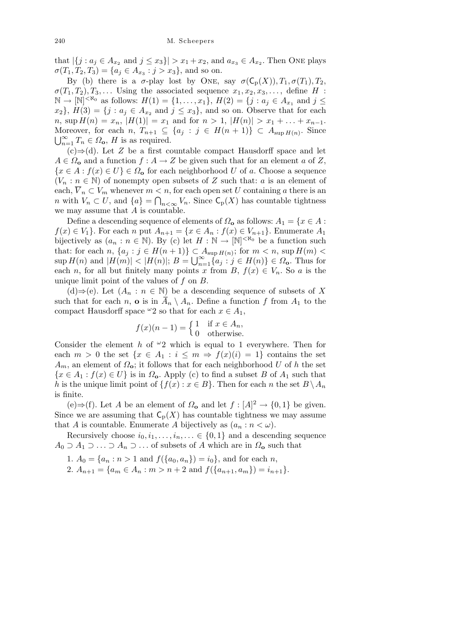that  $|\{j : a_j \in A_{x_2} \text{ and } j \le x_3\}| > x_1 + x_2$ , and  $a_{x_3} \in A_{x_2}$ . Then ONE plays  $\sigma(T_1, T_2, T_3) = \{a_j \in A_{x_3} : j > x_3\}$ , and so on.

By (b) there is a  $\sigma$ -play lost by ONE, say  $\sigma(C_p(X)), T_1, \sigma(T_1), T_2$ ,  $\sigma(T_1, T_2), T_3, \ldots$  Using the associated sequence  $x_1, x_2, x_3, \ldots$ , define *H* :  $\mathbb{N}$  →  $[\mathbb{N}]^{<\aleph_0}$  as follows:  $H(1) = \{1, \ldots, x_1\}, H(2) = \{j : a_j \in A_{x_1} \text{ and } j \leq j\}$  $x_2$ ,  $H(3) = \{j : a_j \in A_{x_2} \text{ and } j \leq x_3\}$ , and so on. Observe that for each *n*, sup  $H(n) = x_n$ ,  $|H(1)| = x_1$  and for  $n > 1$ ,  $|H(n)| > x_1 + \ldots + x_{n-1}$ . Moreover, for each *n*,  $T_{n+1} \subseteq \{a_j : j \in H(n+1)\} \subset A_{\sup H(n)}$ . Since  $\bigcup_{n=1}^{\infty} T_n \in \Omega_0$ , *H* is as required.

(c)*⇒*(d). Let *Z* be a first countable compact Hausdorff space and let  $A \in \Omega$ **o** and a function  $f : A \to Z$  be given such that for an element *a* of *Z*,  ${x \in A : f(x) \in U} \in \Omega_0$  for each neighborhood *U* of *a*. Choose a sequence  $(V_n : n \in \mathbb{N})$  of nonempty open subsets of *Z* such that: *a* is an element of each,  $\overline{V}_n \subset V_m$  whenever  $m < n$ , for each open set *U* containing *a* there is an *n* with  $V_n \subset U$ , and  $\{a\} = \bigcap_{n < \infty} V_n$ . Since  $\mathsf{C}_p(X)$  has countable tightness we may assume that *A* is countable.

Define a descending sequence of elements of  $\Omega_0$  as follows:  $A_1 = \{x \in A :$ *f*(*x*)  $∈$  *V*<sub>1</sub>}. For each *n* put  $A_{n+1} = \{x \in A_n : f(x) \in V_{n+1}\}$ . Enumerate  $A_1$ bijectively as  $(a_n : n \in \mathbb{N})$ . By (c) let  $H : \mathbb{N} \to [\mathbb{N}]^{< \aleph_0}$  be a function such that: for each  $n, \{a_j : j \in H(n+1)\} \subset A_{\sup H(n)}$ ; for  $m < n$ ,  $\sup H(m) <$ <br> $\sup H(m)$  and  $|H(m)| \leq |H(n)|$ ,  $R + |S| \leq \{c_j : j \in H(n)\} \subset Q$ . Thus for  $\sup H(n)$  and  $|H(m)| < |H(n)|$ ;  $B = \bigcup_{n=1}^{\infty} \{a_j : j \in H(n)\} \in \Omega_0$ . Thus for each *n*, for all but finitely many points *x* from *B*,  $f(x) \in V_n$ . So *a* is the unique limit point of the values of *f* on *B*.

(d)*⇒*(e). Let (*A<sup>n</sup>* : *n ∈* N) be a descending sequence of subsets of *X* such that for each *n*, **o** is in  $\overline{A}_n \setminus A_n$ . Define a function f from  $A_1$  to the compact Hausdorff space  $\omega_2$  so that for each  $x \in A_1$ ,

$$
f(x)(n-1) = \begin{cases} 1 & \text{if } x \in A_n, \\ 0 & \text{otherwise.} \end{cases}
$$

Consider the element *h* of *<sup>ω</sup>*2 which is equal to 1 everywhere. Then for each  $m > 0$  the set  $\{x \in A_1 : i \leq m \Rightarrow f(x)(i) = 1\}$  contains the set  $A_m$ , an element of  $\Omega_o$ ; it follows that for each neighborhood *U* of *h* the set  ${x \in A_1 : f(x) \in U}$  is in *Ω***o**. Apply (c) to find a subset *B* of *A*<sub>1</sub> such that *h* is the unique limit point of  $\{f(x) : x \in B\}$ . Then for each *n* the set  $B \setminus A_n$ is finite.

(e)⇒(f). Let *A* be an element of  $\Omega$ <sub>o</sub> and let  $f : [A]^2 \to \{0,1\}$  be given. Since we are assuming that  $C_p(X)$  has countable tightness we may assume that *A* is countable. Enumerate *A* bijectively as  $(a_n : n < \omega)$ .

Recursively choose  $i_0, i_1, \ldots, i_n, \ldots \in \{0, 1\}$  and a descending sequence  $A_0 \supseteq A_1 \supseteq \ldots \supseteq A_n \supseteq \ldots$  of subsets of *A* which are in  $\Omega_0$  such that

- 1.  $A_0 = \{a_n : n > 1 \text{ and } f(\{a_0, a_n\}) = i_0\}$ , and for each *n*,
- 2.  $A_{n+1} = \{a_m \in A_n : m > n+2 \text{ and } f(\{a_{n+1}, a_m\}) = i_{n+1}\}.$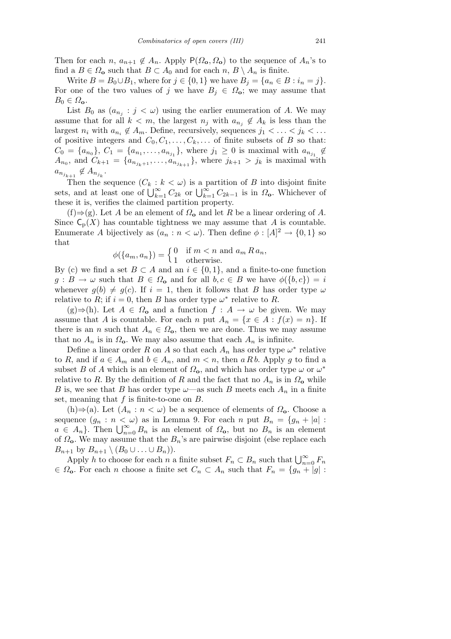Then for each *n*,  $a_{n+1} \notin A_n$ . Apply  $P(\Omega_0, \Omega_0)$  to the sequence of  $A_n$ 's to find a  $B \in \Omega_0$  such that  $B \subset A_0$  and for each  $n, B \setminus A_n$  is finite.

Write  $B = B_0 \cup B_1$ , where for  $j \in \{0, 1\}$  we have  $B_j = \{a_n \in B : i_n = j\}$ . For one of the two values of *j* we have  $B_j \in \Omega_0$ ; we may assume that  $B_0 \in \Omega_{\mathbf{o}}$ .

List  $B_0$  as  $(a_{n_j}: j < \omega)$  using the earlier enumeration of *A*. We may assume that for all  $k < m$ , the largest  $n_j$  with  $a_{n_j} \notin A_k$  is less than the largest  $n_i$  with  $a_{n_i} \notin A_m$ . Define, recursively, sequences  $j_1 < \ldots < j_k < \ldots$ of positive integers and  $C_0, C_1, \ldots, C_k, \ldots$  of finite subsets of *B* so that:  $C_0 = \{a_{n_0}\}, C_1 = \{a_{n_1}, \ldots, a_{n_{j_1}}\}, \text{ where } j_1 \geq 0 \text{ is maximal with } a_{n_{j_1}} \notin$  $A_{n_0}$ , and  $C_{k+1} = \{a_{n_{j_k+1}}, \ldots, a_{n_{j_{k+1}}} \}$ , where  $j_{k+1} > j_k$  is maximal with  $a_{n_{j_{k+1}}} \notin A_{n_{j_k}}.$ 

Then the sequence  $(C_k : k < \omega)$  is a partition of B into disjoint finite<br>sets, and at least one of  $\bigcup_{k=1}^{\infty} C_{2k}$  or  $\bigcup_{k=1}^{\infty} C_{2k-1}$  is in  $\Omega_o$ . Whichever of these it is, verifies the claimed partition property.

(f)*⇒*(g). Let *A* be an element of *Ω***<sup>o</sup>** and let *R* be a linear ordering of *A*. Since  $C_p(X)$  has countable tightness we may assume that *A* is countable. Enumerate *A* bijectively as  $(a_n : n < \omega)$ . Then define  $\phi : [A]^2 \to \{0, 1\}$  so that

$$
\phi(\{a_m, a_n\}) = \begin{cases} 0 & \text{if } m < n \text{ and } a_m R a_n, \\ 1 & \text{otherwise.} \end{cases}
$$

By (c) we find a set  $B \subset A$  and an  $i \in \{0,1\}$ , and a finite-to-one function  $g : B \to \omega$  such that  $B \in \Omega_0$  and for all  $b, c \in B$  we have  $\phi({b, c}) = i$ whenever  $g(b) \neq g(c)$ . If  $i = 1$ , then it follows that *B* has order type  $\omega$ relative to *R*; if  $i = 0$ , then *B* has order type  $\omega^*$  relative to *R*.

 $(g) \Rightarrow (h)$ . Let *A* ∈  $\Omega$ <sub>o</sub> and a function *f* : *A* → *ω* be given. We may assume that *A* is countable. For each *n* put  $A_n = \{x \in A : f(x) = n\}$ . If there is an *n* such that  $A_n \in \Omega_0$ , then we are done. Thus we may assume that no  $A_n$  is in  $\Omega_o$ . We may also assume that each  $A_n$  is infinite.

Define a linear order *R* on *A* so that each  $A_n$  has order type  $\omega^*$  relative to *R*, and if  $a \in A_m$  and  $b \in A_n$ , and  $m < n$ , then  $a R b$ . Apply  $g$  to find a subset *B* of *A* which is an element of  $\Omega_o$ , and which has order type  $\omega$  or  $\omega^*$ relative to *R*. By the definition of *R* and the fact that no  $A_n$  is in  $\Omega_o$  while *B* is, we see that *B* has order type  $\omega$ —as such *B* meets each  $A_n$  in a finite set, meaning that *f* is finite-to-one on *B*.

(h)*⇒*(a). Let (*A<sup>n</sup>* : *n < ω*) be a sequence of elements of *Ω***o**. Choose a sequence  $(g_n : n < \omega)$  as in Lemma 9. For each *n* put  $B_n = \{g_n + |a|$ :  $a \in A_n$ . Then  $\bigcup_{n=0}^{\infty} B_n$  is an element of  $\Omega_0$ , but no  $B_n$  is an element  $a \in A_n$ . of  $\Omega$ <sup>o</sup>. We may assume that the  $B_n$ 's are pairwise disjoint (else replace each *B*<sup>*n*+1</sup> by *B*<sup>*n*+1</sup>  $\setminus$  (*B*<sup>0</sup> *∪ . . ∪ B*<sup>*n*</sup>)).

Apply *h* to choose for each *n* a finite subset  $F_n \subset B_n$  such that  $\bigcup_{n=0}^{\infty} F_n$  $\in \Omega$ <sub>o</sub>. For each *n* choose a finite set  $C_n \subset A_n$  such that  $F_n = \{g_n + |g| :$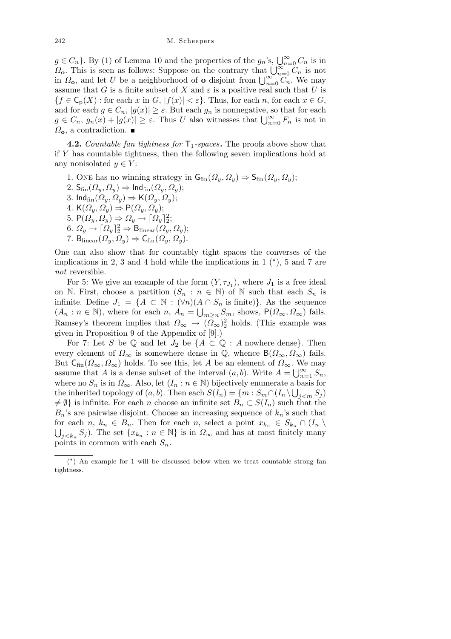$g \in C_n$ . By (1) of Lemma 10 and the properties of the  $g_n$ 's,  $\bigcup_{n=0}^{\infty} C_n$  is in  $Q \in C_n$ . By (1) or Lemma 10 and the properties of the  $g_n$  s,  $\bigcup_{n=0}^{\infty} C_n$  is in  $\Omega_o$ . This is seen as follows: Suppose on the contrary that  $\bigcup_{n=0}^{\infty} C_n$  is not  $\Omega$ *s***<sub>o</sub>**. This is seen as ionows: Suppose on the contrary that  $\bigcup_{n=0}^{\infty} C_n$  is not in  $\Omega$ <sub>o</sub>, and let *U* be a neighborhood of **o** disjoint from  $\bigcup_{n=0}^{\infty} C_n$ . We may assume that *G* is a finite subset of *X* and  $\varepsilon$  is a positive real such that *U* is  ${f \in \mathsf{C}_p(X) : \text{for each } x \text{ in } G, |f(x)| < \varepsilon}.$  Thus, for each *n*, for each  $x \in G$ , and for each  $g \in C_n$ ,  $|g(x)| \geq \varepsilon$ . But each  $g_n$  is nonnegative, so that for each and for each  $g \in C_n$ ,  $|g(x)| \geq \varepsilon$ . Dut each  $g_n$  is nonnegative, so that for each  $g \in C_n$ ,  $g_n(x) + |g(x)| \geq \varepsilon$ . Thus *U* also witnesses that  $\bigcup_{n=0}^{\infty} F_n$  is not in *Ω***o**, a contradiction.

**4.2.** *Countable fan tightness for*  $\mathsf{T}_1$ -spaces. The proofs above show that if *Y* has countable tightness, then the following seven implications hold at any nonisolated  $y \in Y$ :

1. One has no winning strategy in  $G_{fin}(\Omega_u, \Omega_u) \Rightarrow S_{fin}(\Omega_u, \Omega_u);$ 2. Sfin(*Ωy, Ωy*) *⇒* Indfin(*Ωy, Ωy*); 3. Ind<sub>fin</sub> $(\Omega_y, \Omega_y) \Rightarrow K(\Omega_y, \Omega_y);$  $4. K(\Omega_y, \Omega_y) \Rightarrow P(\Omega_y, \Omega_y);$ 5.  $P(\Omega_y, \Omega_y) \Rightarrow \Omega_y \rightarrow [\Omega_y]^2$ ;  $6. \ \Omega_y \rightarrow \lceil \Omega_y \rceil_2^2 \Rightarrow B_{\text{linear}}(\Omega_y, \Omega_y);$  $7. \text{B}_{\text{linear}}(\Omega_y, \Omega_y) \Rightarrow \mathsf{C}_{\text{fin}}(\Omega_y, \Omega_y).$ 

One can also show that for countably tight spaces the converses of the implications in 2, 3 and 4 hold while the implications in 1 (*<sup>∗</sup>* ), 5 and 7 are *not* reversible.

For 5: We give an example of the form  $(Y, \tau_{J_1})$ , where  $J_1$  is a free ideal on N. First, choose a partition  $(S_n : n \in \mathbb{N})$  of N such that each  $S_n$  is infinite. Define  $J_1 = \{A \subset \mathbb{N} : (\forall n)(A \cap S_n \text{ is finite})\}$ . As the sequence  $(A_n : n \in \mathbb{N})$ , where for each  $n, A_n = \bigcup_{m \geq n} S_m$ , shows,  $P(\Omega_\infty, \Omega_\infty)$  fails. Ramsey's theorem implies that  $\Omega_{\infty} \to (\overline{\Omega}_{\infty})^2$  holds. (This example was given in Proposition 9 of the Appendix of [9].)

For 7: Let *S* be Q and let  $J_2$  be  $\{A \subset \mathbb{Q} : A$  nowhere dense $\}$ . Then every element of  $\Omega_{\infty}$  is somewhere dense in  $\mathbb{Q}$ , whence  $B(\Omega_{\infty}, \Omega_{\infty})$  fails. But  $C_{fin}(\Omega_{\infty}, \Omega_{\infty})$  holds. To see this, let *A* be an element of  $\Omega_{\infty}$ . We may assume that *A* is a dense subset of the interval  $(a, b)$ . Write  $A = \bigcup_{n=1}^{\infty} S_n$ , where no  $S_n$  is in  $\Omega_{\infty}$ . Also, let  $(I_n : n \in \mathbb{N})$  bijectively enumerate a basis for the inherited topology of  $(a, b)$ . Then each  $S(I_n) = \{m : S_m \cap (I_n \setminus \bigcup_{j \le m} S_j) \}$  $\neq \emptyset$  is infinite. For each *n* choose an infinite set  $B_n \subset S(I_n)$  such that the  $B_n$ 's are pairwise disjoint. Choose an increasing sequence of  $k_n$ 's such that for each  $n, k_n \in B_n$ . Then for each  $n$ , select a point  $x_{k_n} \in S_{k_n} \cap (I_n \setminus \mathbb{R})$  $j < k_n$  *S*<sup>*j*</sup>). The set  $\{x_{k_n} : n \in \mathbb{N}\}$  is in  $\Omega_\infty$  and has at most finitely many points in common with each  $S_n$ .

<sup>(</sup> *∗* ) An example for 1 will be discussed below when we treat countable strong fan tightness.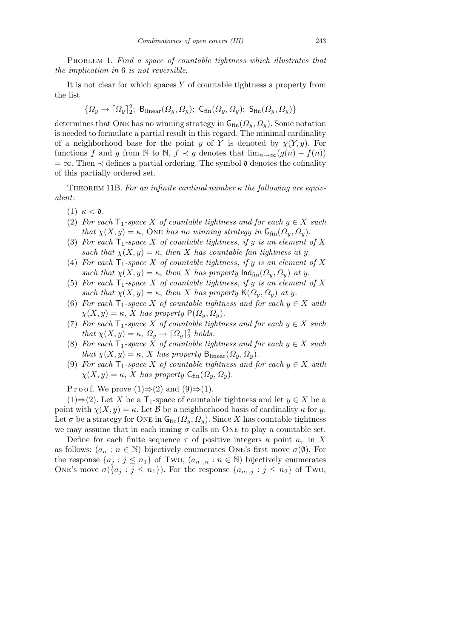PROBLEM 1. *Find a space of countable tightness which illustrates that the implication in* 6 *is not reversible.*

It is not clear for which spaces *Y* of countable tightness a property from the list

$$
\{\varOmega_y\rightarrow \lceil \varOmega_y \rceil_2^2;\; \mathsf{B}_{\mathrm{linear}}(\varOmega_y,\varOmega_y);\;\mathsf{C}_{\mathrm{fin}}(\varOmega_y,\varOmega_y);\;\mathsf{S}_{\mathrm{fin}}(\varOmega_y,\varOmega_y)\}
$$

determines that ONE has no winning strategy in  $G_{fin}(\Omega_y, \Omega_y)$ . Some notation is needed to formulate a partial result in this regard. The minimal cardinality of a neighborhood base for the point *y* of *Y* is denoted by  $\chi(Y, y)$ . For functions *f* and *g* from  $\mathbb N$  to  $\mathbb N$ ,  $f \prec g$  denotes that  $\lim_{n\to\infty} (g(n) - f(n))$  $= \infty$ . Then  $\prec$  defines a partial ordering. The symbol  $\mathfrak d$  denotes the cofinality of this partially ordered set.

Theorem 11B. *For an infinite cardinal number κ the following are equivalent*:

- (1) *κ <* d*.*
- (2) *For each*  $T_1$ -space *X* of countable tightness and for each  $y \in X$  such *that*  $\chi(X, y) = \kappa$ , One *has no winning strategy in*  $G_{fin}(\Omega_y, \Omega_y)$ .
- (3) For each  $\mathsf{T}_1$ -space X of countable tightness, if y is an element of X *such that*  $\chi(X, y) = \kappa$ , *then X has countable fan tightness at y.*
- (4) For each  $T_1$ -space X of countable tightness, if y is an element of X *such that*  $\chi(X, y) = \kappa$ , *then X has property*  $\text{Ind}_{\text{fin}}(\Omega_y, \Omega_y)$  *at y*.
- (5) For each  $\mathsf{T}_1$ -space X of countable tightness, if y is an element of X *such that*  $\chi(X, y) = \kappa$ , *then X has property*  $\mathsf{K}(\Omega_y, \Omega_y)$  *at y*.
- (6) *For each*  $T_1$ *-space X of countable tightness and for each*  $y \in X$  *with*  $\chi(X, y) = \kappa$ , *X has property*  $P(\Omega_y, \Omega_y)$ .
- (7) *For each*  $\mathsf{T}_1$ *-space X of countable tightness and for each*  $y \in X$  *such that*  $\chi(X, y) = \kappa$ ,  $\Omega_y \to \lceil \Omega_y \rceil^2$  *holds.*
- (8) *For each*  $\mathsf{T}_1$ *-space X of countable tightness and for each*  $y \in X$  *such that*  $\chi(X, y) = \kappa$ , *X has property*  $B_{\text{linear}}(\Omega_y, \Omega_y)$ .
- (9) *For each*  $T_1$ *-space X of countable tightness and for each*  $y \in X$  *with*  $\chi(X, y) = \kappa$ , *X* has property  $\mathsf{C}_{\text{fin}}(\Omega_y, \Omega_y)$ .

P r o o f. We prove  $(1) \Rightarrow (2)$  and  $(9) \Rightarrow (1)$ .

(1)⇒(2). Let *X* be a  $\mathsf{T}_1$ -space of countable tightness and let  $y \in X$  be a point with  $\chi(X, y) = \kappa$ . Let *B* be a neighborhood basis of cardinality  $\kappa$  for *y*. Let  $\sigma$  be a strategy for ONE in  $\mathsf{G}_{\text{fin}}(\Omega_y,\Omega_y)$ . Since X has countable tightness we may assume that in each inning  $\sigma$  calls on ONE to play a countable set.

Define for each finite sequence  $\tau$  of positive integers a point  $a_{\tau}$  in X as follows:  $(a_n : n \in \mathbb{N})$  bijectively enumerates ONE's first move  $\sigma(\emptyset)$ . For the response  $\{a_j : j \leq n_1\}$  of Two,  $(a_{n_1,n} : n \in \mathbb{N})$  bijectively enumerates ONE's move  $\sigma({a_j : j \leq n_1})$ . For the response  ${a_{n_1,j} : j \leq n_2}$  of Two,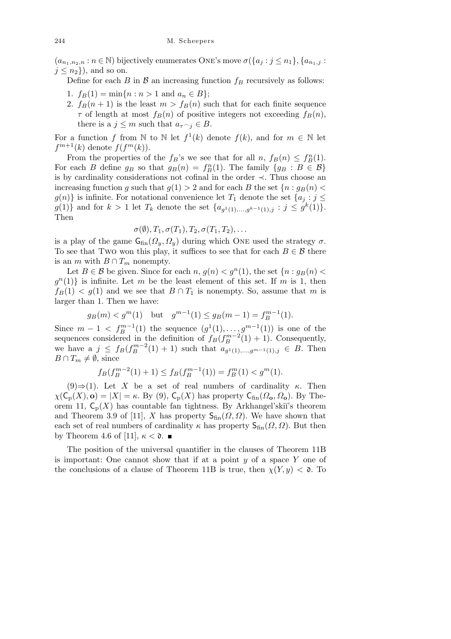$(a_{n_1,n_2,n}: n \in \mathbb{N})$  bijectively enumerates ONE's move  $\sigma(\{a_j : j \leq n_1\}, \{a_{n_1,j} : j \leq n_2\})$  $j \leq n_2$ }, and so on.

Define for each *B* in  $\beta$  an increasing function  $f_B$  recursively as follows:

- 1.  $f_B(1) = \min\{n : n > 1 \text{ and } a_n \in B\};$
- 2.  $f_B(n+1)$  is the least  $m > f_B(n)$  such that for each finite sequence *τ* of length at most  $f_B(n)$  of positive integers not exceeding  $f_B(n)$ , there is a  $j \leq m$  such that  $a_{\tau} \in B$ .

For a function *f* from  $\mathbb N$  to  $\mathbb N$  let  $f^1(k)$  denote  $f(k)$ , and for  $m \in \mathbb N$  let  $f^{m+1}(k)$  denote  $f(f^m(k))$ .

From the properties of the  $f_B$ 's we see that for all  $n, f_B(n) \leq f_B^n(1)$ . For each *B* define  $g_B$  so that  $g_B(n) = f_B^n(1)$ . The family  $\{g_B : B \in \mathcal{B}\}\$ is by cardinality considerations not cofinal in the order *≺*. Thus choose an increasing function *g* such that  $g(1) > 2$  and for each *B* the set  $\{n : g_B(n) <$  $g(n)$ } is infinite. For notational convenience let  $T_1$  denote the set  $\{a_i : j \leq j \}$  $g(1)$ *}* and for  $k > 1$  let  $T_k$  denote the set  $\{a_{g^1(1),...,g^{k-1}(1),j}: j \leq g^k(1)\}.$ Then

$$
\sigma(\emptyset), T_1, \sigma(T_1), T_2, \sigma(T_1, T_2), \ldots
$$

is a play of the game  $G_{fin}(\Omega_y, \Omega_y)$  during which ONE used the strategy  $\sigma$ . To see that Two won this play, it suffices to see that for each  $B \in \mathcal{B}$  there is an *m* with  $B \cap T_m$  nonempty.

Let *B*  $\in$  *B* be given. Since for each *n*,  $g(n) < g^n(1)$ , the set  $\{n : g_B(n)$  $g^{(n)}(1)$  is infinite. Let *m* be the least element of this set. If *m* is 1, then  $f_B(1) < g(1)$  and we see that  $B \cap T_1$  is nonempty. So, assume that *m* is larger than 1. Then we have:

$$
g_B(m) < g^m(1)
$$
 but  $g^{m-1}(1) \le g_B(m-1) = f_B^{m-1}(1)$ .

Since  $m-1 < f_B^{m-1}(1)$  the sequence  $(g^1(1), \ldots, g^{m-1}(1))$  is one of the sequences considered in the definition of  $f_B(f_B^{m-2}(1) + 1)$ . Consequently, we have a  $j \leq f_B(f_B^{m-2}(1) + 1)$  such that  $a_{g(1)}(1),...,g^{m-1}(1),j \in B$ . Then *B* ∩  $T_m \neq \emptyset$ , since

$$
f_B(f_B^{m-2}(1) + 1) \le f_B(f_B^{m-1}(1)) = f_B^m(1) < g^m(1).
$$

 $(9) \Rightarrow (1)$ . Let *X* be a set of real numbers of cardinality *κ*. Then  $\chi(\mathsf{C}_{p}(X), \mathbf{o}) = |X| = \kappa$ . By (9),  $\mathsf{C}_{p}(X)$  has property  $\mathsf{C}_{\text{fin}}(\Omega_{\mathbf{o}}, \Omega_{\mathbf{o}})$ . By Theorem 11,  $C_p(X)$  has countable fan tightness. By Arkhangel'skiï's theorem and Theorem 3.9 of [11], *X* has property  $S_{fin}(\Omega, \Omega)$ . We have shown that each set of real numbers of cardinality  $\kappa$  has property  $\mathsf{S}_{\text{fin}}(\Omega,\Omega)$ . But then by Theorem 4.6 of [11],  $\kappa < \mathfrak{d}$ .

The position of the universal quantifier in the clauses of Theorem 11B is important: One cannot show that if at a point *y* of a space *Y* one of the conclusions of a clause of Theorem 11B is true, then  $\chi(Y, y) < \mathfrak{d}$ . To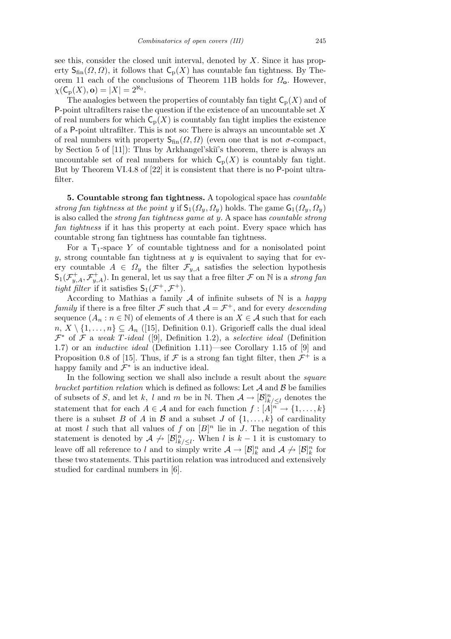see this, consider the closed unit interval, denoted by *X*. Since it has property  $S_{fin}(\Omega, \Omega)$ , it follows that  $C_p(X)$  has countable fan tightness. By Theorem 11 each of the conclusions of Theorem 11B holds for *Ω***o**. However,  $\chi(\mathsf{C}_{\mathsf{p}}(X), \mathbf{o}) = |X| = 2^{\aleph_0}.$ 

The analogies between the properties of countably fan tight  $C_p(X)$  and of P-point ultrafilters raise the question if the existence of an uncountable set *X* of real numbers for which  $C_p(X)$  is countably fan tight implies the existence of a P-point ultrafilter. This is not so: There is always an uncountable set *X* of real numbers with property  $S_{fin}(\Omega, \Omega)$  (even one that is not  $\sigma$ -compact, by Section 5 of [11]): Thus by Arkhangel'skiï's theorem, there is always an uncountable set of real numbers for which  $C_p(X)$  is countably fan tight. But by Theorem VI.4.8 of [22] it is consistent that there is no P-point ultrafilter.

**5. Countable strong fan tightness.** A topological space has *countable strong fan tightness at the point y* if  $S_1(\Omega_y, \Omega_y)$  holds. The game  $G_1(\Omega_y, \Omega_y)$ is also called the *strong fan tightness game at y*. A space has *countable strong fan tightness* if it has this property at each point. Every space which has countable strong fan tightness has countable fan tightness.

For a  $T_1$ -space Y of countable tightness and for a nonisolated point *y*, strong countable fan tightness at *y* is equivalent to saying that for every countable  $A \in \Omega_y$  the filter  $\mathcal{F}_{y,A}$  satisfies the selection hypothesis  $\mathsf{S}_1(\mathcal{F}_{y,A}^+, \mathcal{F}_{y,A}^+)$ . In general, let us say that a free filter  $\mathcal F$  on  $\mathbb N$  is a *strong fan tight filter* if it satisfies  $S_1(\mathcal{F}^+, \mathcal{F}^+)$ .

According to Mathias a family *A* of infinite subsets of N is a *happy family* if there is a free filter  $\mathcal F$  such that  $\mathcal A = \mathcal F^+$ , and for every *descending* sequence  $(A_n : n \in \mathbb{N})$  of elements of *A* there is an  $X \in \mathcal{A}$  such that for each  $n, X \setminus \{1, \ldots, n\} \subseteq A_n$  ([15], Definition 0.1). Grigorieff calls the dual ideal *F ∗* of *F* a *weak T-ideal* ([9], Definition 1.2), a *selective ideal* (Definition 1.7) or an *inductive ideal* (Definition 1.11)—see Corollary 1.15 of [9] and Proposition 0.8 of [15]. Thus, if  $\mathcal F$  is a strong fan tight filter, then  $\mathcal F^+$  is a happy family and  $\mathcal{F}^*$  is an inductive ideal.

In the following section we shall also include a result about the *square bracket partition relation* which is defined as follows: Let *A* and *B* be families of subsets of *S*, and let *k*, *l* and *m* be in N. Then  $A \to [\mathcal{B}]_{k/\leq l}^n$  denotes the statement that for each  $A \in \mathcal{A}$  and for each function  $f : [A]^{n} \to \{1, \ldots, k\}$ there is a subset *B* of *A* in *B* and a subset *J* of  $\{1, \ldots, k\}$  of cardinality at most *l* such that all values of *f* on  $[B]^n$  lie in *J*. The negation of this statement is denoted by  $A \nightharpoonup [B]_{k/\leq l}^n$ . When *l* is  $k-1$  it is customary to leave off all reference to *l* and to simply write  $A \to [\mathcal{B}]_k^n$  and  $A \not\to [\mathcal{B}]_k^n$  for these two statements. This partition relation was introduced and extensively studied for cardinal numbers in [6].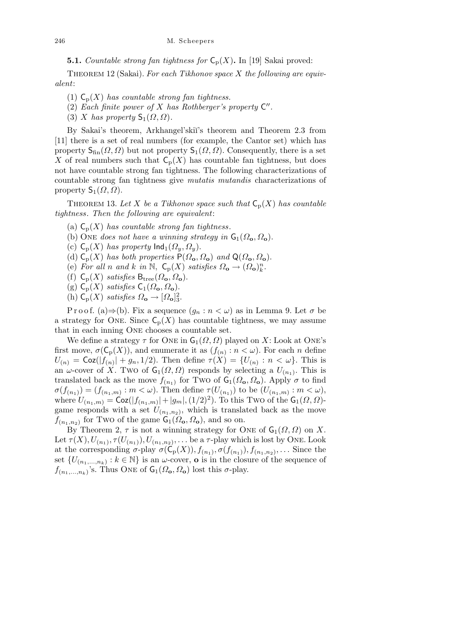**5.1.** *Countable strong fan tightness for*  $C_p(X)$ . In [19] Sakai proved:

Theorem 12 (Sakai). *For each Tikhonov space X the following are equivalent*:

- (1)  $C_p(X)$  *has countable strong fan tightness.*
- (2) Each finite power of  $X$  has Rothberger's property  $C''$ .
- (3) *X* has property  $S_1(\Omega, \Omega)$ .

By Sakai's theorem, Arkhangel'skiï's theorem and Theorem 2.3 from [11] there is a set of real numbers (for example, the Cantor set) which has property  $S_{fin}(\Omega, \Omega)$  but not property  $S_1(\Omega, \Omega)$ . Consequently, there is a set X of real numbers such that  $\mathsf{C}_p(X)$  has countable fan tightness, but does not have countable strong fan tightness. The following characterizations of countable strong fan tightness give *mutatis mutandis* characterizations of property  $S_1(\Omega, \Omega)$ .

THEOREM 13. Let *X* be a Tikhonov space such that  $C_p(X)$  has countable *tightness. Then the following are equivalent*:

- (a)  $C_p(X)$  *has countable strong fan tightness.*
- (b) ONE *does not have a winning strategy in*  $\mathsf{G}_1(\Omega_0, \Omega_0)$ .
- (c)  $\mathsf{C}_p(X)$  *has property*  $\mathsf{Ind}_1(\Omega_y, \Omega_y)$ .
- (d)  $C_p(X)$  *has both properties*  $P(\Omega_o, \Omega_o)$  *and*  $Q(\Omega_o, \Omega_o)$ *.*
- (e) For all *n* and *k* in  $\mathbb{N}$ ,  $\mathsf{C}_p(X)$  satisfies  $\Omega_o \to (\Omega_o)_k^n$ .
- (f)  $C_p(X)$  *satisfies*  $B_{\text{tree}}(\Omega_o, \Omega_o)$ .
- $(g)$   $C_p(X)$  *satisfies*  $C_1(\Omega_o, \Omega_o)$ .
- (h)  $C_p(X)$  *satisfies*  $\Omega_o \rightarrow [\Omega_o]_3^2$ .

P r o o f. (a)  $\Rightarrow$  (b). Fix a sequence  $(g_n : n < \omega)$  as in Lemma 9. Let  $\sigma$  be a strategy for ONE. Since  $C_p(X)$  has countable tightness, we may assume that in each inning One chooses a countable set.

We define a strategy  $\tau$  for ONE in  $\mathsf{G}_1(\Omega,\Omega)$  played on X: Look at ONE's first move,  $\sigma(\mathsf{C}_p(X))$ , and enumerate it as  $(f_{(n)}: n < \omega)$ . For each *n* define  $U(n) = \text{Coz}(|f(n)| + g_n, 1/2)$ . Then define  $\tau(X) = \{U(n) : n < \omega\}$ . This is an *ω*-cover of *X*. Two of  $G_1(\Omega, \Omega)$  responds by selecting a  $U_{(n_1)}$ . This is translated back as the move  $f_{(n_1)}$  for Two of  $\mathsf{G}_1(\Omega_{\mathbf{o}}, \Omega_{\mathbf{o}})$ . Apply  $\sigma$  to find  $\sigma(f_{(n_1)}) = (f_{(n_1,m)} : m < \omega)$ . Then define  $\tau(U_{(n_1)})$  to be  $(U_{(n_1,m)} : m < \omega)$ ,  $W = C_1(n_1, m) = C_2(|f(n_1, m)| + |g_m|, (1/2)^2)$ . To this Two of the  $G_1(\Omega, \Omega)$ game responds with a set  $U_{(n_1,n_2)}$ , which is translated back as the move  $f_{(n_1,n_2)}$  for Two of the game  $\mathsf{G}_1(\Omega_\mathbf{o},\Omega_\mathbf{o})$ , and so on.

By Theorem 2,  $\tau$  is not a winning strategy for ONE of  $\mathsf{G}_1(\Omega,\Omega)$  on *X*. Let  $\tau(X), U_{(n_1)}, \tau(U_{(n_1)}), U_{(n_1,n_2)}, \ldots$  be a  $\tau$ -play which is lost by ONE. Look at the corresponding  $\sigma$ -play  $\sigma(C_p(X)), f_{(n_1)}, \sigma(f_{(n_1)}), f_{(n_1,n_2)}, \ldots$  Since the set  $\{U_{(n_1,...,n_k)} : k \in \mathbb{N}\}\$ is an *ω*-cover, **o** is in the closure of the sequence of  $f_{(n_1,...,n_k)}$ 's. Thus One of  $\mathsf{G}_1(\Omega_{\mathbf{o}}, \Omega_{\mathbf{o}})$  lost this  $\sigma$ -play.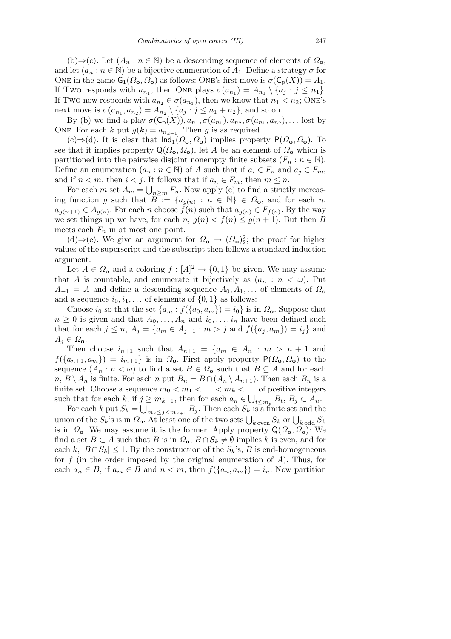(b)*⇒*(c). Let (*A<sup>n</sup>* : *n ∈* N) be a descending sequence of elements of *Ω***o**, and let  $(a_n : n \in \mathbb{N})$  be a bijective enumeration of  $A_1$ . Define a strategy  $\sigma$  for ONE in the game  $G_1(\Omega_o, \Omega_o)$  as follows: ONE's first move is  $\sigma(C_p(X)) = A_1$ . If Two responds with  $a_{n_1}$ , then ONE plays  $\sigma(a_{n_1}) = A_{n_1} \setminus \{a_j : j \leq n_1\}.$ If Two now responds with  $a_{n_2} \in \sigma(a_{n_1})$ , then we know that  $n_1 < n_2$ ; ONE's next move is  $\sigma(a_{n_1}, a_{n_2}) = A_{n_2} \setminus \{a_j : j \leq n_1 + n_2\}$ , and so on.

By (b) we find a play  $\sigma(C_p(X))$ ,  $a_{n_1}$ ,  $\sigma(a_{n_1})$ ,  $a_{n_2}$ ,  $\sigma(a_{n_1}, a_{n_2})$ , ... lost by ONE. For each *k* put  $g(k) = a_{n_{k+1}}$ . Then *g* is as required.

(c)*⇒*(d). It is clear that Ind1(*Ω***o***, Ω***o**) implies property P(*Ω***o***, Ω***o**). To see that it implies property  $Q(\Omega_0, \Omega_0)$ , let *A* be an element of  $\Omega_0$  which is partitioned into the pairwise disjoint nonempty finite subsets  $(F_n : n \in \mathbb{N})$ . Define an enumeration  $(a_n : n \in \mathbb{N})$  of *A* such that if  $a_i \in F_n$  and  $a_j \in F_m$ , and if  $n < m$ , then  $i < j$ . It follows that if  $a_n \in F_m$ , then  $m \leq n$ .

For each *m* set  $A_m = \bigcup_{n \geq m} F_n$ . Now apply (c) to find a strictly increasing function *g* such that  $B^- := \{a_{g(n)} : n \in \mathbb{N}\}\in \Omega_0$ , and for each *n*,  $a_{g(n+1)} \in A_{g(n)}$ . For each *n* choose  $f(n)$  such that  $a_{g(n)} \in F_{f(n)}$ . By the way we set things up we have, for each  $n, g(n) < f(n) \le g(n+1)$ . But then *B* meets each  $F_n$  in at most one point.

(d)⇒(e). We give an argument for  $\Omega$ <sub>o</sub> →  $(\Omega$ <sub>o</sub>)<sup>2</sup>; the proof for higher values of the superscript and the subscript then follows a standard induction argument.

Let  $A \in \Omega$ <sub>o</sub> and a coloring  $f : [A]^2 \to \{0,1\}$  be given. We may assume that *A* is countable, and enumerate it bijectively as  $(a_n : n < \omega)$ . Put  $A_{-1} = A$  and define a descending sequence  $A_0, A_1, \ldots$  of elements of  $\Omega_0$ and a sequence  $i_0, i_1, \ldots$  of elements of  $\{0, 1\}$  as follows:

Choose *i*<sub>0</sub> so that the set  $\{a_m : f(\{a_0, a_m\}) = i_0\}$  is in  $\Omega_o$ . Suppose that  $n \geq 0$  is given and that  $A_0, \ldots, A_n$  and  $i_0, \ldots, i_n$  have been defined such that for each  $j \leq n$ ,  $A_j = \{a_m \in A_{j-1} : m > j \text{ and } f(\{a_i, a_m\}) = i_j \}$  and  $A_j \in \Omega$ <sub>o</sub>.

Then choose  $i_{n+1}$  such that  $A_{n+1} = \{a_m \in A_n : m > n+1 \text{ and } a_m\}$  $f(\{a_{n+1}, a_m\}) = i_{m+1}$  is in  $\Omega_o$ . First apply property  $P(\Omega_o, \Omega_o)$  to the sequence  $(A_n : n < \omega)$  to find a set  $B \in \Omega_0$  such that  $B \subseteq A$  and for each  $n, B \setminus A_n$  is finite. For each *n* put  $B_n = B \cap (A_n \setminus A_{n+1})$ . Then each  $B_n$  is a finite set. Choose a sequence  $m_0 < m_1 < \ldots < m_k < \ldots$  of positive integers such that for each  $k$ , if  $j \geq m_{k+1}$ , then for each  $a_n \in$ S  $j \geq m_{k+1}$ , then for each  $a_n \in \bigcup_{t \leq m_k} B_t$ ,  $B_j \subset A_n$ .

For each *k* put  $S_k = \bigcup_{m_k \leq j < m_{k+1}} B_j$ . Then each  $S_k$  is a finite set and the  $V$  or each *λ* βut *S<sub><i>k*</sub></sub> −  $\bigcup_{m_k ≤ j < m_{k+1}}$  *D<sub>j</sub>*. Then each *S<sub><i>k*</sub></sub> *s* a ninte set and the union of the *S<sub>k</sub>*'s is in *Ω*<sub>**o**</sub>. At least one of the two sets  $\bigcup_{k \text{ even}} S_k$  or  $\bigcup_{k \text{ odd}} S_k$ is in  $\Omega_o$ . We may assume it is the former. Apply property  $Q(\Omega_o, \Omega_o)$ : We find a set  $B \subset A$  such that  $B$  is in  $\Omega_0, B \cap S_k \neq \emptyset$  implies  $k$  is even, and for each  $k, |B \cap S_k| \leq 1$ . By the construction of the  $S_k$ 's, *B* is end-homogeneous for *f* (in the order imposed by the original enumeration of *A*). Thus, for each  $a_n \in B$ , if  $a_m \in B$  and  $n < m$ , then  $f(\{a_n, a_m\}) = i_n$ . Now partition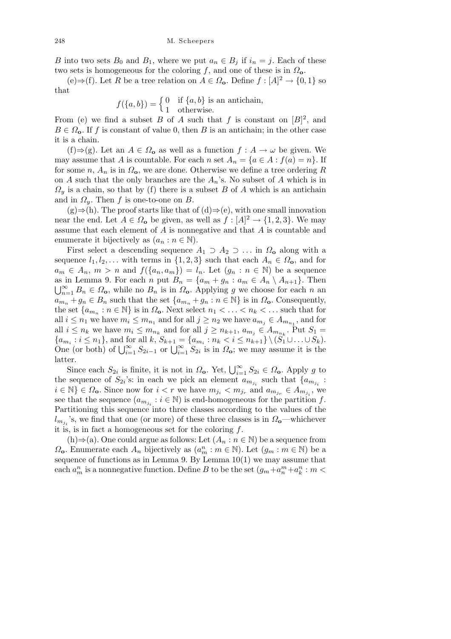*B* into two sets  $B_0$  and  $B_1$ , where we put  $a_n \in B_i$  if  $i_n = j$ . Each of these two sets is homogeneous for the coloring *f*, and one of these is in *Ω***o**.

 $(e) \Rightarrow (f)$ . Let *R* be a tree relation on *A* ∈  $\Omega$ <sub>o</sub>. Define *f* : [*A*]<sup>2</sup> → {0, 1} so that

$$
f({a,b}) = \begin{cases} 0 & \text{if } {a,b} \text{ is an antichain,} \\ 1 & \text{otherwise.} \end{cases}
$$

From (e) we find a subset *B* of *A* such that *f* is constant on  $[B]^2$ , and  $B \in \Omega$ <sub>o</sub>. If *f* is constant of value 0, then *B* is an antichain; in the other case it is a chain.

(f)*⇒*(g). Let an *A ∈ Ω***<sup>o</sup>** as well as a function *f* : *A → ω* be given. We may assume that *A* is countable. For each *n* set  $A_n = \{a \in A : f(a) = n\}$ . If for some *n*,  $A_n$  is in  $\Omega_o$ , we are done. Otherwise we define a tree ordering R on *A* such that the only branches are the  $A_n$ 's. No subset of *A* which is in  $Q_y$  is a chain, so that by (f) there is a subset *B* of *A* which is an antichain and in  $\Omega_y$ . Then *f* is one-to-one on *B*.

(g)*⇒*(h). The proof starts like that of (d)*⇒*(e), with one small innovation near the end. Let  $A \in \Omega_0$  be given, as well as  $f : [A]^2 \to \{1, 2, 3\}$ . We may assume that each element of *A* is nonnegative and that *A* is countable and enumerate it bijectively as  $(a_n : n \in \mathbb{N})$ .

First select a descending sequence  $A_1 \supset A_2 \supset \ldots$  in  $\Omega_0$  along with a sequence  $l_1, l_2, \ldots$  with terms in  $\{1, 2, 3\}$  such that each  $A_n \in \Omega_0$ , and for  $a_m \in A_n$ ,  $m > n$  and  $f(\{a_n, a_m\}) = l_n$ . Let  $(g_n : n \in \mathbb{N})$  be a sequence as in Lemma 9. For each *n* put  $B_n = \{a_m + g_n : a_m \in A_n \setminus A_{n+1}\}.$  Then  $\bigcup_{n=1}^{\infty} B_n \in \Omega_0$ , while no  $B_n$  is in  $\Omega_0$ . Applying *g* we choose for each *n* an  $a_{m_n} + g_n \in B_n$  such that the set  $\{a_{m_n} + g_n : n \in \mathbb{N}\}\$ is in  $\Omega_o$ . Consequently, the set  $\{a_{m_n}: n \in \mathbb{N}\}\$ is in  $\Omega_0$ . Next select  $n_1 < \ldots < n_k < \ldots$  such that for all  $i \leq n_1$  we have  $m_i \leq m_{n_1}$  and for all  $j \geq n_2$  we have  $a_{m_j} \in A_{m_{n_1}}$ , and for all  $i \leq n_k$  we have  $m_i \leq m_{n_k}$  and for all  $j \geq n_{k+1}, a_{m_j} \in A_{m_{n_k}}$ . Put  $S_1 =$  $\{a_{m_i}: i \leq n_1\}$ , and for all  $k$ ,  $S_{k+1} = \{a_{m_i}: n_k < i \leq n_{k+1}\} \setminus (S_1 \cup \ldots \cup S_k)$ .<br>One (or both) of  $\bigcup_{i=1}^{\infty} S_{2i-1}$  or  $\bigcup_{i=1}^{\infty} S_{2i}$  is in  $\Omega_0$ ; we may assume it is the latter.

Since each  $S_{2i}$  is finite, it is not in  $\Omega_{o}$ . Yet,  $\bigcup_{i=1}^{\infty} S_{2i} \in \Omega_{o}$ . Apply g to the sequence of  $S_{2i}$ 's: in each we pick an element  $a_{m_{j_i}}$  such that  $\{a_{m_{j_i}}\}$ :  $i \in \mathbb{N}$   $\} \in \Omega_0$ . Since now for  $i < r$  we have  $m_{j_i} < m_{j_r}$  and  $a_{m_{j_r}} \in A_{m_{j_i}}$ , we see that the sequence  $(a_{m_{j_i}} : i \in \mathbb{N})$  is end-homogeneous for the partition  $f$ . Partitioning this sequence into three classes according to the values of the  $l_{m_{j_i}}$ 's, we find that one (or more) of these three classes is in *Ω***o**—whichever it is, is in fact a homogeneous set for the coloring *f*.

(h)*⇒*(a). One could argue as follows: Let (*A<sup>n</sup>* : *n ∈* N) be a sequence from  $\Omega$ **o**. Enumerate each *A<sub>n</sub>* bijectively as  $(a_m^n : m \in \mathbb{N})$ . Let  $(g_m : m \in \mathbb{N})$  be a sequence of functions as in Lemma 9. By Lemma  $10(1)$  we may assume that each  $a_m^n$  is a nonnegative function. Define *B* to be the set  $(g_m + a_n^m + a_k^n : m$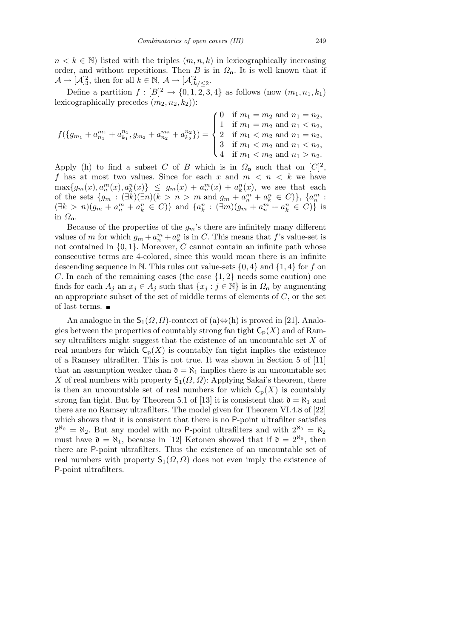$n < k \in \mathbb{N}$ ) listed with the triples  $(m, n, k)$  in lexicographically increasing order, and without repetitions. Then *B* is in  $\Omega_{o}$ . It is well known that if  $\mathcal{A} \to [\mathcal{A}]_3^2$ , then for all  $k \in \mathbb{N}$ ,  $\mathcal{A} \to [\mathcal{A}]_{k/\leq 2}^2$ .

Define a partition  $f : [B]^2 \to \{0, 1, 2, 3, 4\}$  as follows (now  $(m_1, n_1, k_1)$ ) lexicographically precedes  $(m_2, n_2, k_2)$ :

$$
f(\lbrace g_{m_1} + a_{n_1}^{m_1} + a_{k_1}^{n_1}, g_{m_2} + a_{n_2}^{m_2} + a_{k_2}^{n_2} \rbrace) = \begin{cases} 0 & \text{if } m_1 = m_2 \text{ and } n_1 = n_2, \\ 1 & \text{if } m_1 = m_2 \text{ and } n_1 < n_2, \\ 2 & \text{if } m_1 < m_2 \text{ and } n_1 = n_2, \\ 3 & \text{if } m_1 < m_2 \text{ and } n_1 < n_2, \\ 4 & \text{if } m_1 < m_2 \text{ and } n_1 > n_2. \end{cases}
$$

Apply (h) to find a subset *C* of *B* which is in  $\Omega_0$  such that on  $[C]^2$ , *f* has at most two values. Since for each *x* and *m < n < k* we have  $\max\{g_m(x), a_n^m(x), a_k^n(x)\}\ \leq\ g_m(x) + a_n^m(x) + a_k^n(x)$ , we see that each of the sets  $\{g_m: (\exists k)(\exists n)(k > n > m \text{ and } g_m + a_n^m + a_k^n \in C)\}, \{a_n^m:$  $(\exists k > n)(g_m + a_n^m + a_k^n \in C)$ } and  $\{a_k^n : (\exists m)(g_m + a_n^m + a_k^n \in C)\}$  is in *Ω***o**.

Because of the properties of the  $g_m$ 's there are infinitely many different values of *m* for which  $g_m + a_n^m + a_k^n$  is in *C*. This means that *f*'s value-set is not contained in *{*0*,* 1*}*. Moreover, *C* cannot contain an infinite path whose consecutive terms are 4-colored, since this would mean there is an infinite descending sequence in N. This rules out value-sets *{*0*,* 4*}* and *{*1*,* 4*}* for *f* on *C*. In each of the remaining cases (the case *{*1*,* 2*}* needs some caution) one finds for each  $A_i$  an  $x_j \in A_j$  such that  $\{x_j : j \in \mathbb{N}\}\$ is in  $\Omega_0$  by augmenting an appropriate subset of the set of middle terms of elements of *C*, or the set of last terms.  $\blacksquare$ 

An analogue in the  $S_1(\Omega, \Omega)$ -context of (a) $\Leftrightarrow$ (h) is proved in [21]. Analogies between the properties of countably strong fan tight  $C_p(X)$  and of Ramsey ultrafilters might suggest that the existence of an uncountable set *X* of real numbers for which  $C_p(X)$  is countably fan tight implies the existence of a Ramsey ultrafilter. This is not true. It was shown in Section 5 of [11] that an assumption weaker than  $\mathfrak{d} = \aleph_1$  implies there is an uncountable set *X* of real numbers with property  $S_1(\Omega, \Omega)$ : Applying Sakai's theorem, there is then an uncountable set of real numbers for which  $C_p(X)$  is countably strong fan tight. But by Theorem 5.1 of [13] it is consistent that  $\mathfrak{d} = \aleph_1$  and there are no Ramsey ultrafilters. The model given for Theorem VI.4.8 of [22] which shows that it is consistent that there is no P-point ultrafilter satisfies  $2^{\aleph_0} = \aleph_2$ . But any model with no P-point ultrafilters and with  $2^{\aleph_0} = \aleph_2$ must have  $\mathfrak{d} = \aleph_1$ , because in [12] Ketonen showed that if  $\mathfrak{d} = 2^{\aleph_0}$ , then there are P-point ultrafilters. Thus the existence of an uncountable set of real numbers with property  $S_1(\Omega, \Omega)$  does not even imply the existence of P-point ultrafilters.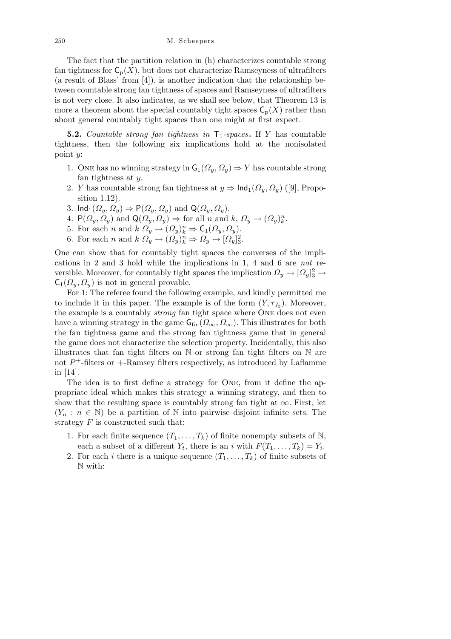The fact that the partition relation in (h) characterizes countable strong fan tightness for  $C_p(X)$ , but does not characterize Ramseyness of ultrafilters (a result of Blass' from [4]), is another indication that the relationship between countable strong fan tightness of spaces and Ramseyness of ultrafilters is not very close. It also indicates, as we shall see below, that Theorem 13 is more a theorem about the special countably tight spaces  $C_p(X)$  rather than about general countably tight spaces than one might at first expect.

**5.2.** *Countable strong fan tightness in*  $\mathsf{T}_1$ -spaces. If *Y* has countable tightness, then the following six implications hold at the nonisolated point *y*:

- 1. One has no winning strategy in  $G_1(\Omega_y, \Omega_y) \Rightarrow Y$  has countable strong fan tightness at *y*.
- 2. *Y* has countable strong fan tightness at  $y \Rightarrow \text{Ind}_1(\Omega_y, \Omega_y)$  ([9], Proposition 1.12).
- 3. Ind<sub>1</sub> $(\Omega_y, \Omega_y) \Rightarrow P(\Omega_y, \Omega_y)$  and  $Q(\Omega_y, \Omega_y)$ .
- 4.  $P(\Omega_y, \Omega_y)$  and  $Q(\Omega_y, \Omega_y) \Rightarrow$  for all *n* and *k*,  $\Omega_y \rightarrow (\Omega_y)_k^n$ .
- 5. For each *n* and  $k \Omega_y \to (\Omega_y)^n_k \Rightarrow \mathsf{C}_1(\Omega_y, \Omega_y)$ .
- 6. For each *n* and  $k \Omega_y \to (\Omega_y)_k^n \Rightarrow \Omega_y \to [\Omega_y]_3^2$ .

One can show that for countably tight spaces the converses of the implications in 2 and 3 hold while the implications in 1, 4 and 6 are *not* reversible. Moreover, for countably tight spaces the implication  $\Omega_y \to [\Omega_y]_3^2 \to$  $C_1(\Omega_y, \Omega_y)$  is not in general provable.

For 1: The referee found the following example, and kindly permitted me to include it in this paper. The example is of the form  $(Y, \tau_{J_3})$ . Moreover, the example is a countably *strong* fan tight space where One does not even have a winning strategy in the game  $G_{fin}(\Omega_{\infty}, \Omega_{\infty})$ . This illustrates for both the fan tightness game and the strong fan tightness game that in general the game does not characterize the selection property. Incidentally, this also illustrates that fan tight filters on N or strong fan tight filters on N are not  $P^+$ -filters or  $+$ -Ramsey filters respectively, as introduced by Laflamme in [14].

The idea is to first define a strategy for One, from it define the appropriate ideal which makes this strategy a winning strategy, and then to show that the resulting space is countably strong fan tight at  $\infty$ . First, let  $(Y_n : n \in \mathbb{N})$  be a partition of N into pairwise disjoint infinite sets. The strategy *F* is constructed such that:

- 1. For each finite sequence  $(T_1, \ldots, T_k)$  of finite nonempty subsets of N, each a subset of a different  $Y_t$ , there is an *i* with  $F(T_1, \ldots, T_k) = Y_i$ .
- 2. For each *i* there is a unique sequence  $(T_1, \ldots, T_k)$  of finite subsets of N with: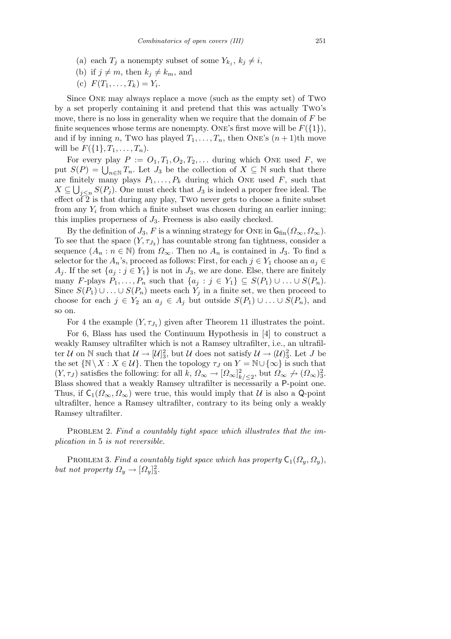- (a) each  $T_j$  a nonempty subset of some  $Y_{k_j}$ ,  $k_j \neq i$ ,
- (b) if  $j \neq m$ , then  $k_j \neq k_m$ , and
- (c)  $F(T_1, ..., T_k) = Y_i$ .

Since One may always replace a move (such as the empty set) of Two by a set properly containing it and pretend that this was actually Two's move, there is no loss in generality when we require that the domain of *F* be finite sequences whose terms are nonempty. One's first move will be  $F({1}),$ and if by inning *n*, Two has played  $T_1, \ldots, T_n$ , then ONE's  $(n + 1)$ th move will be  $F({1}, T_1, \ldots, T_n)$ .

For every play  $P := O_1, T_1, O_2, T_2, \ldots$  during which ONE used  $F$ , we put  $S(P) = \bigcup_{n \in \mathbb{N}} T_n$ . Let *J*<sub>3</sub> be the collection of  $X \subseteq \mathbb{N}$  such that there are finitely many plays  $P_1, \ldots, P_k$  during which ONE used  $F$ , such that  $X \subseteq \bigcup_{j \leq n} S(P_j)$ . One must check that *J*<sub>3</sub> is indeed a proper free ideal. The effect of  $\overline{2}$  is that during any play, Two never gets to choose a finite subset from any *Y<sup>i</sup>* from which a finite subset was chosen during an earlier inning; this implies properness of *J*3. Freeness is also easily checked.

By the definition of  $J_3$ , F is a winning strategy for ONE in  $\mathsf{G}_{\text{fin}}(\Omega_\infty,\Omega_\infty)$ . To see that the space  $(Y, \tau_{J_3})$  has countable strong fan tightness, consider a sequence  $(A_n : n \in \mathbb{N})$  from  $\Omega_\infty$ . Then no  $A_n$  is contained in  $J_3$ . To find a selector for the  $A_n$ 's, proceed as follows: First, for each  $j \in Y_1$  choose an  $a_j \in$ *A*<sub>*j*</sub>. If the set  $\{a_j : j \in Y_1\}$  is not in *J*<sub>3</sub>, we are done. Else, there are finitely many *F*-plays  $P_1, \ldots, P_n$  such that  $\{a_j : j \in Y_1\} \subseteq S(P_1) \cup \ldots \cup S(P_n)$ . Since  $S(P_1) \cup \ldots \cup S(P_n)$  meets each  $Y_j$  in a finite set, we then proceed to choose for each  $j \in Y_2$  an  $a_j \in A_j$  but outside  $S(P_1) \cup \ldots \cup S(P_n)$ , and so on.

For 4 the example  $(Y, \tau_{J_1})$  given after Theorem 11 illustrates the point.

For 6, Blass has used the Continuum Hypothesis in [4] to construct a weakly Ramsey ultrafilter which is not a Ramsey ultrafilter, i.e., an ultrafilter *U* on  $\mathbb N$  such that  $\mathcal U \to [\mathcal U]_3^2$ , but *U* does not satisfy  $\mathcal U \to (\mathcal U)_3^2$ . Let *J* be the set  $\{N \setminus X : X \in U\}$ . Then the topology  $\tau_J$  on  $Y = N \cup \{\infty\}$  is such that  $(Y, \tau_J)$  satisfies the following: for all  $k$ ,  $\Omega_{\infty} \to [\Omega_{\infty}]_{k/\leq 2}^2$ , but  $\Omega_{\infty} \to (\Omega_{\infty})_3^2$ . Blass showed that a weakly Ramsey ultrafilter is necessarily a P-point one. Thus, if  $C_1(\Omega_\infty, \Omega_\infty)$  were true, this would imply that *U* is also a Q-point ultrafilter, hence a Ramsey ultrafilter, contrary to its being only a weakly Ramsey ultrafilter.

PROBLEM 2. Find a countably tight space which illustrates that the im*plication in* 5 *is not reversible.*

PROBLEM 3. *Find a countably tight space which has property*  $C_1(\Omega_y, \Omega_y)$ , *but not property*  $\Omega_y \to [\Omega_y]_3^2$ .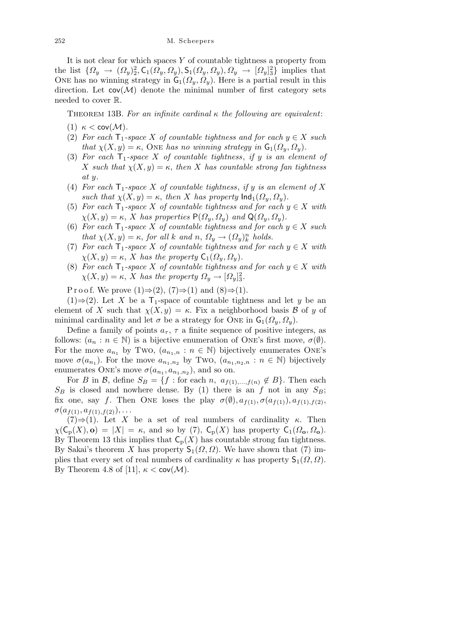It is not clear for which spaces *Y* of countable tightness a property from the list  $\{\Omega_y \to (\Omega_y)_2^2, \mathsf{C}_1(\Omega_y, \Omega_y), \mathsf{S}_1(\Omega_y, \Omega_y), \Omega_y \to [\Omega_y]_3^2\}$  implies that ONE has no winning strategy in  $G_1(\Omega_y, \Omega_y)$ . Here is a partial result in this direction. Let  $cov(\mathcal{M})$  denote the minimal number of first category sets needed to cover R.

THEOREM 13B. For an infinite cardinal  $\kappa$  the following are equivalent:

- (1) *κ <* cov(*M*)*.*
- (2) *For each*  $T_1$ -space *X* of countable tightness and for each  $y \in X$  such *that*  $\chi(X, y) = \kappa$ , One *has no winning strategy in*  $\mathsf{G}_1(\Omega_y, \Omega_y)$ .
- (3) For each  $T_1$ -space X of countable tightness, if y is an element of *X such that*  $\chi(X, y) = \kappa$ , *then X has countable strong fan tightness at y.*
- (4) For each  $\mathsf{T}_1$ -space X of countable tightness, if y is an element of X *such that*  $\chi(X, y) = \kappa$ , *then X has property*  $\text{Ind}_1(\Omega_y, \Omega_y)$ .
- (5) *For each*  $\mathsf{T}_1$ *-space X of countable tightness and for each*  $y \in X$  *with*  $\chi(X, y) = \kappa$ , *X has properties*  $P(\Omega_y, \Omega_y)$  *and*  $Q(\Omega_y, \Omega_y)$ *.*
- (6) *For each*  $T_1$ -space *X* of countable tightness and for each  $y \in X$  such *that*  $\chi(X, y) = \kappa$ , *for all*  $k$  *and*  $n$ ,  $\Omega_y \to (\Omega_y)_k^n$  *holds.*
- (7) *For each*  $\mathsf{T}_1$ *-space X of countable tightness and for each*  $y \in X$  *with*  $\chi(X, y) = \kappa$ , *X* has the property  $C_1(\Omega_y, \Omega_y)$ .
- (8) *For each*  $\mathsf{T}_1$ *-space X of countable tightness and for each*  $y \in X$  *with*  $\chi(X, y) = \kappa$ , *X* has the property  $\Omega_y \to [\Omega_y]_3^2$ .

P r o o f. We prove  $(1) \Rightarrow (2)$ ,  $(7) \Rightarrow (1)$  and  $(8) \Rightarrow (1)$ .

(1)⇒(2). Let *X* be a  $T_1$ -space of countable tightness and let *y* be an element of *X* such that  $\chi(X, y) = \kappa$ . Fix a neighborhood basis *B* of *y* of minimal cardinality and let  $\sigma$  be a strategy for ONE in  $G_1(\Omega_y, \Omega_y)$ .

Define a family of points  $a_{\tau}$ ,  $\tau$  a finite sequence of positive integers, as follows:  $(a_n : n \in \mathbb{N})$  is a bijective enumeration of ONE's first move,  $\sigma(\emptyset)$ . For the move  $a_{n_1}$  by Two,  $(a_{n_1,n}: n \in \mathbb{N})$  bijectively enumerates ONE's move  $\sigma(a_{n_1})$ . For the move  $a_{n_1,n_2}$  by Two,  $(a_{n_1,n_2,n}: n \in \mathbb{N})$  bijectively enumerates ONE's move  $\sigma(a_{n_1}, a_{n_1,n_2})$ , and so on.

For *B* in *B*, define  $S_B = \{f : \text{for each } n, a_{f(1),...,f(n)} \notin B\}$ . Then each  $S_B$  is closed and nowhere dense. By (1) there is an *f* not in any  $S_B$ ; fix one, say *f*. Then ONE loses the play  $\sigma(\emptyset), a_{f(1)}, \sigma(a_{f(1)}), a_{f(1),f(2)}$  $\sigma(a_{f(1)}, a_{f(1), f(2)})$ , . . .

 $(7) \Rightarrow (1)$ . Let *X* be a set of real numbers of cardinality *κ*. Then  $\chi(\mathsf{C}_{p}(X), \mathbf{o}) = |X| = \kappa$ , and so by (7),  $\mathsf{C}_{p}(X)$  has property  $\mathsf{C}_{1}(\Omega_{\mathbf{o}}, \Omega_{\mathbf{o}})$ . By Theorem 13 this implies that  $C_p(X)$  has countable strong fan tightness. By Sakai's theorem *X* has property  $S_1(\Omega, \Omega)$ . We have shown that (7) implies that every set of real numbers of cardinality  $\kappa$  has property  $\mathsf{S}_1(\Omega,\Omega)$ . By Theorem 4.8 of [11],  $\kappa < \text{cov}(\mathcal{M})$ .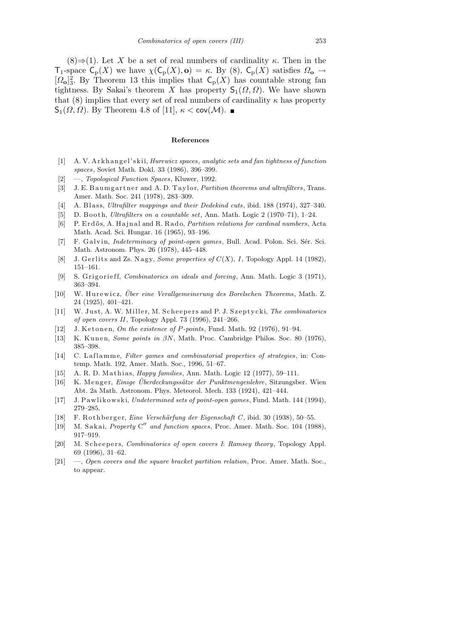$(8) \Rightarrow (1)$ . Let *X* be a set of real numbers of cardinality *κ*. Then in the T<sub>1</sub>-space  $C_p(X)$  we have  $\chi(C_p(X), o) = \kappa$ . By (8),  $C_p(X)$  satisfies  $\Omega_o \to$  $[\Omega_{\mathbf{o}}]_3^2$ . By Theorem 13 this implies that  $\mathsf{C}_p(X)$  has countable strong fan tightness. By Sakai's theorem *X* has property  $\mathsf{S}_1(\Omega,\Omega)$ . We have shown that (8) implies that every set of real numbers of cardinality  $\kappa$  has property  $\mathsf{S}_1(\Omega,\Omega)$ . By Theorem 4.8 of [11], *κ* < cov(*M*). ■

## **References**

- [1] A. V. A r k h a n g el' s ki˘ı, *Hurewicz spaces*, *analytic sets and fan tightness of function spaces*, Soviet Math. Dokl. 33 (1986), 396–399.
- [2] —, *Topological Function Spaces*, Kluwer, 1992.
- [3] J. E. B a umg artner and A. D. Taylor, *Partition theorems and ultrafilters*, Trans. Amer. Math. Soc. 241 (1978), 283–309.
- [4] A. Blass, *Ultrafilter mappings and their Dedekind cuts*, ibid. 188 (1974), 327–340.
- [5] D. Booth, *Ultrafilters on a countable set*, Ann. Math. Logic 2 (1970–71), 1–24.
- [6] P. E r d ˝o s, A. H a j n al and R. R a d o, *Partition relations for cardinal numbers*, Acta Math. Acad. Sci. Hungar. 16 (1965), 93–196.
- [7] F. Galvin, *Indeterminacy of point-open games*, Bull. Acad. Polon. Sci. Sér. Sci. Math. Astronom. Phys. 26 (1978), 445–448.
- [8] J. Gerlits and Zs. Nagy, *Some properties of*  $C(X)$ , *I*, Topology Appl. 14 (1982), 151–161.
- [9] S. Grigorieff, *Combinatorics on ideals and forcing*, Ann. Math. Logic 3 (1971), 363–394.
- [10] W. Hurewicz, *Über eine Verallgemeinerung des Borelschen Theorems*, Math. Z. 24 (1925), 401–421.
- [11] W. Just, A. W. Miller, M. Scheepers and P. J. Szeptycki, *The combinatorics of open covers II*, Topology Appl. 73 (1996), 241–266.
- [12] J. Ketonen, *On the existence of P-points*, Fund. Math. 92 (1976), 91-94.
- [13] K. Kunen, *Some points in βN*, Math. Proc. Cambridge Philos. Soc. 80 (1976), 385–398.
- [14] C. Laflamme, *Filter games and combinatorial properties of strategies*, in: Contemp. Math. 192, Amer. Math. Soc., 1996, 51–67.
- [15] A. R. D. Mathias, *Happy families*, Ann. Math. Logic 12 (1977), 59-111.
- [16] K. Menger, *Einige Überdeckungssätze der Punktmengenlehre*, Sitzungsber. Wien Abt. 2a Math. Astronom. Phys. Meteorol. Mech. 133 (1924), 421–444.
- [17] J. P awli k ow s ki, *Undetermined sets of point-open games*, Fund. Math. 144 (1994), 279–285.
- [18] F. Rothberger, *Eine Verschärfung der Eigenschaft C*, ibid. 30 (1938), 50–55.
- [19] M. Sakai, *Property* C" and function spaces, Proc. Amer. Math. Soc. 104 (1988), 917–919.
- [20] M. Scheepers, *Combinatorics of open covers I: Ramsey theory*, Topology Appl. 69 (1996), 31–62.
- [21] —, *Open covers and the square bracket partition relation*, Proc. Amer. Math. Soc., to appear.